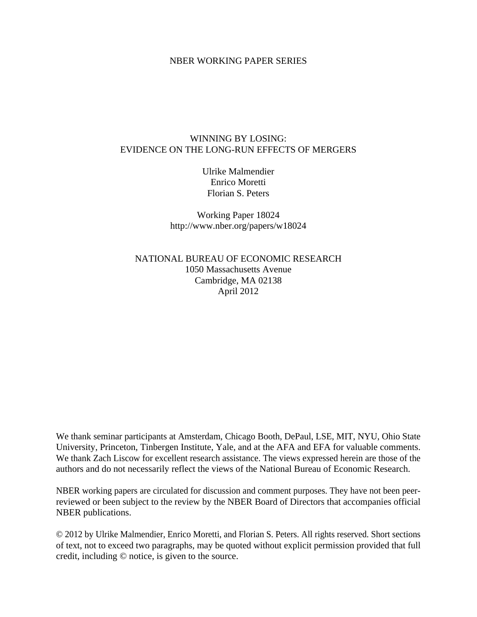### NBER WORKING PAPER SERIES

### WINNING BY LOSING: EVIDENCE ON THE LONG-RUN EFFECTS OF MERGERS

Ulrike Malmendier Enrico Moretti Florian S. Peters

Working Paper 18024 http://www.nber.org/papers/w18024

NATIONAL BUREAU OF ECONOMIC RESEARCH 1050 Massachusetts Avenue Cambridge, MA 02138 April 2012

We thank seminar participants at Amsterdam, Chicago Booth, DePaul, LSE, MIT, NYU, Ohio State University, Princeton, Tinbergen Institute, Yale, and at the AFA and EFA for valuable comments. We thank Zach Liscow for excellent research assistance. The views expressed herein are those of the authors and do not necessarily reflect the views of the National Bureau of Economic Research.

NBER working papers are circulated for discussion and comment purposes. They have not been peerreviewed or been subject to the review by the NBER Board of Directors that accompanies official NBER publications.

© 2012 by Ulrike Malmendier, Enrico Moretti, and Florian S. Peters. All rights reserved. Short sections of text, not to exceed two paragraphs, may be quoted without explicit permission provided that full credit, including © notice, is given to the source.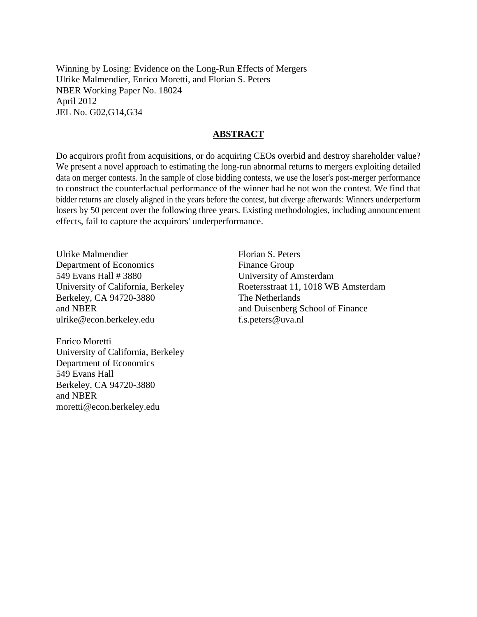Winning by Losing: Evidence on the Long-Run Effects of Mergers Ulrike Malmendier, Enrico Moretti, and Florian S. Peters NBER Working Paper No. 18024 April 2012 JEL No. G02,G14,G34

### **ABSTRACT**

Do acquirors profit from acquisitions, or do acquiring CEOs overbid and destroy shareholder value? We present a novel approach to estimating the long-run abnormal returns to mergers exploiting detailed data on merger contests. In the sample of close bidding contests, we use the loser's post-merger performance to construct the counterfactual performance of the winner had he not won the contest. We find that bidder returns are closely aligned in the years before the contest, but diverge afterwards: Winners underperform losers by 50 percent over the following three years. Existing methodologies, including announcement effects, fail to capture the acquirors' underperformance.

Ulrike Malmendier Department of Economics 549 Evans Hall # 3880 University of California, Berkeley Berkeley, CA 94720-3880 and NBER ulrike@econ.berkeley.edu

Enrico Moretti University of California, Berkeley Department of Economics 549 Evans Hall Berkeley, CA 94720-3880 and NBER moretti@econ.berkeley.edu

Florian S. Peters Finance Group University of Amsterdam Roetersstraat 11, 1018 WB Amsterdam The Netherlands and Duisenberg School of Finance f.s.peters@uva.nl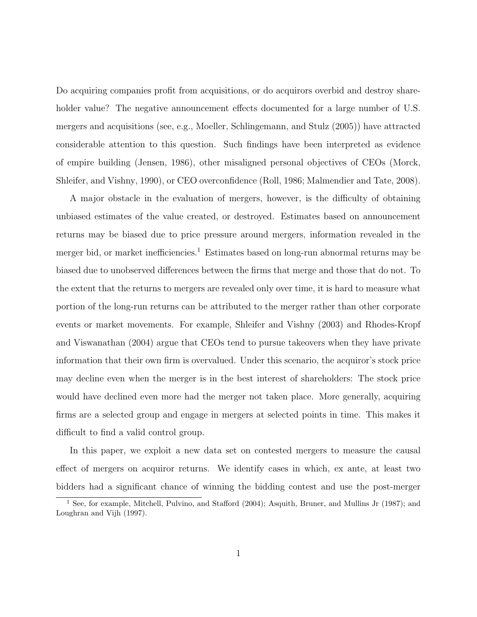Do acquiring companies profit from acquisitions, or do acquirors overbid and destroy shareholder value? The negative announcement effects documented for a large number of U.S. mergers and acquisitions (see, e.g., Moeller, Schlingemann, and Stulz (2005)) have attracted considerable attention to this question. Such findings have been interpreted as evidence of empire building (Jensen, 1986), other misaligned personal objectives of CEOs (Morck, Shleifer, and Vishny, 1990), or CEO overconfidence (Roll, 1986; Malmendier and Tate, 2008).

A major obstacle in the evaluation of mergers, however, is the difficulty of obtaining unbiased estimates of the value created, or destroyed. Estimates based on announcement returns may be biased due to price pressure around mergers, information revealed in the merger bid, or market inefficiencies.<sup>1</sup> Estimates based on long-run abnormal returns may be biased due to unobserved differences between the firms that merge and those that do not. To the extent that the returns to mergers are revealed only over time, it is hard to measure what portion of the long-run returns can be attributed to the merger rather than other corporate events or market movements. For example, Shleifer and Vishny (2003) and Rhodes-Kropf and Viswanathan (2004) argue that CEOs tend to pursue takeovers when they have private information that their own firm is overvalued. Under this scenario, the acquiror's stock price may decline even when the merger is in the best interest of shareholders: The stock price would have declined even more had the merger not taken place. More generally, acquiring firms are a selected group and engage in mergers at selected points in time. This makes it difficult to find a valid control group.

In this paper, we exploit a new data set on contested mergers to measure the causal effect of mergers on acquiror returns. We identify cases in which, ex ante, at least two bidders had a significant chance of winning the bidding contest and use the post-merger

<sup>1</sup> See, for example, Mitchell, Pulvino, and Stafford (2004); Asquith, Bruner, and Mullins Jr (1987); and Loughran and Vijh (1997).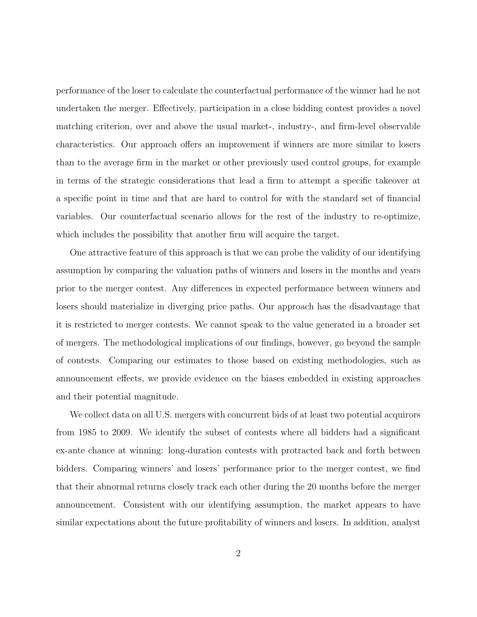performance of the loser to calculate the counterfactual performance of the winner had he not undertaken the merger. Effectively, participation in a close bidding contest provides a novel matching criterion, over and above the usual market-, industry-, and firm-level observable characteristics. Our approach offers an improvement if winners are more similar to losers than to the average firm in the market or other previously used control groups, for example in terms of the strategic considerations that lead a firm to attempt a specific takeover at a specific point in time and that are hard to control for with the standard set of financial variables. Our counterfactual scenario allows for the rest of the industry to re-optimize, which includes the possibility that another firm will acquire the target.

One attractive feature of this approach is that we can probe the validity of our identifying assumption by comparing the valuation paths of winners and losers in the months and years prior to the merger contest. Any differences in expected performance between winners and losers should materialize in diverging price paths. Our approach has the disadvantage that it is restricted to merger contests. We cannot speak to the value generated in a broader set of mergers. The methodological implications of our findings, however, go beyond the sample of contests. Comparing our estimates to those based on existing methodologies, such as announcement effects, we provide evidence on the biases embedded in existing approaches and their potential magnitude.

We collect data on all U.S. mergers with concurrent bids of at least two potential acquirors from 1985 to 2009. We identify the subset of contests where all bidders had a significant ex-ante chance at winning: long-duration contests with protracted back and forth between bidders. Comparing winners' and losers' performance prior to the merger contest, we find that their abnormal returns closely track each other during the 20 months before the merger announcement. Consistent with our identifying assumption, the market appears to have similar expectations about the future profitability of winners and losers. In addition, analyst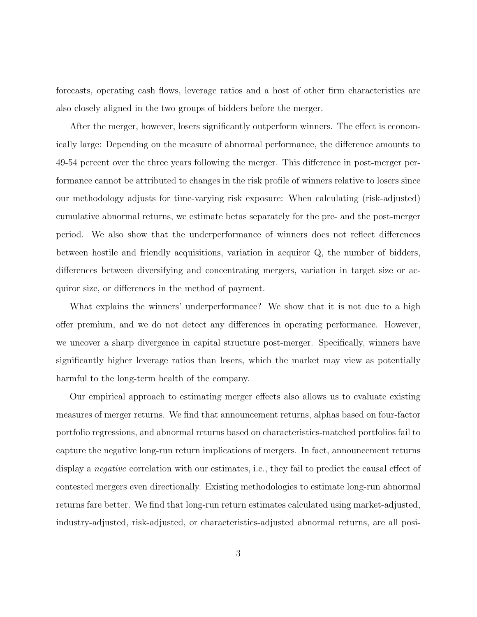forecasts, operating cash flows, leverage ratios and a host of other firm characteristics are also closely aligned in the two groups of bidders before the merger.

After the merger, however, losers significantly outperform winners. The effect is economically large: Depending on the measure of abnormal performance, the difference amounts to 49-54 percent over the three years following the merger. This difference in post-merger performance cannot be attributed to changes in the risk profile of winners relative to losers since our methodology adjusts for time-varying risk exposure: When calculating (risk-adjusted) cumulative abnormal returns, we estimate betas separately for the pre- and the post-merger period. We also show that the underperformance of winners does not reflect differences between hostile and friendly acquisitions, variation in acquiror Q, the number of bidders, differences between diversifying and concentrating mergers, variation in target size or acquiror size, or differences in the method of payment.

What explains the winners' underperformance? We show that it is not due to a high offer premium, and we do not detect any differences in operating performance. However, we uncover a sharp divergence in capital structure post-merger. Specifically, winners have significantly higher leverage ratios than losers, which the market may view as potentially harmful to the long-term health of the company.

Our empirical approach to estimating merger effects also allows us to evaluate existing measures of merger returns. We find that announcement returns, alphas based on four-factor portfolio regressions, and abnormal returns based on characteristics-matched portfolios fail to capture the negative long-run return implications of mergers. In fact, announcement returns display a *negative* correlation with our estimates, i.e., they fail to predict the causal effect of contested mergers even directionally. Existing methodologies to estimate long-run abnormal returns fare better. We find that long-run return estimates calculated using market-adjusted, industry-adjusted, risk-adjusted, or characteristics-adjusted abnormal returns, are all posi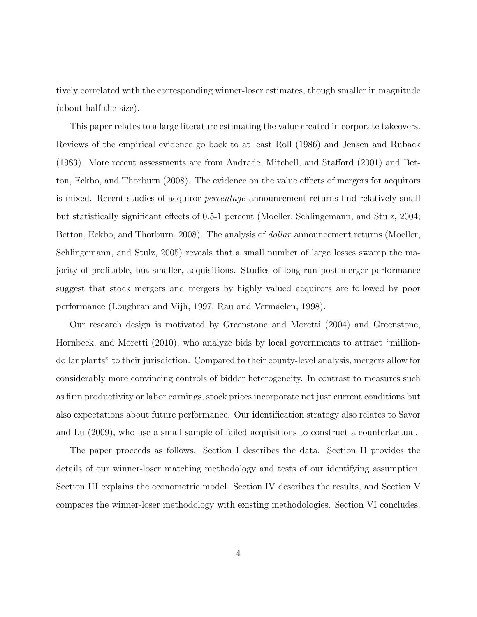tively correlated with the corresponding winner-loser estimates, though smaller in magnitude (about half the size).

This paper relates to a large literature estimating the value created in corporate takeovers. Reviews of the empirical evidence go back to at least Roll (1986) and Jensen and Ruback (1983). More recent assessments are from Andrade, Mitchell, and Stafford (2001) and Betton, Eckbo, and Thorburn (2008). The evidence on the value effects of mergers for acquirors is mixed. Recent studies of acquiror percentage announcement returns find relatively small but statistically significant effects of 0.5-1 percent (Moeller, Schlingemann, and Stulz, 2004; Betton, Eckbo, and Thorburn, 2008). The analysis of *dollar* announcement returns (Moeller, Schlingemann, and Stulz, 2005) reveals that a small number of large losses swamp the majority of profitable, but smaller, acquisitions. Studies of long-run post-merger performance suggest that stock mergers and mergers by highly valued acquirors are followed by poor performance (Loughran and Vijh, 1997; Rau and Vermaelen, 1998).

Our research design is motivated by Greenstone and Moretti (2004) and Greenstone, Hornbeck, and Moretti (2010), who analyze bids by local governments to attract "milliondollar plants" to their jurisdiction. Compared to their county-level analysis, mergers allow for considerably more convincing controls of bidder heterogeneity. In contrast to measures such as firm productivity or labor earnings, stock prices incorporate not just current conditions but also expectations about future performance. Our identification strategy also relates to Savor and Lu (2009), who use a small sample of failed acquisitions to construct a counterfactual.

The paper proceeds as follows. Section I describes the data. Section II provides the details of our winner-loser matching methodology and tests of our identifying assumption. Section III explains the econometric model. Section IV describes the results, and Section V compares the winner-loser methodology with existing methodologies. Section VI concludes.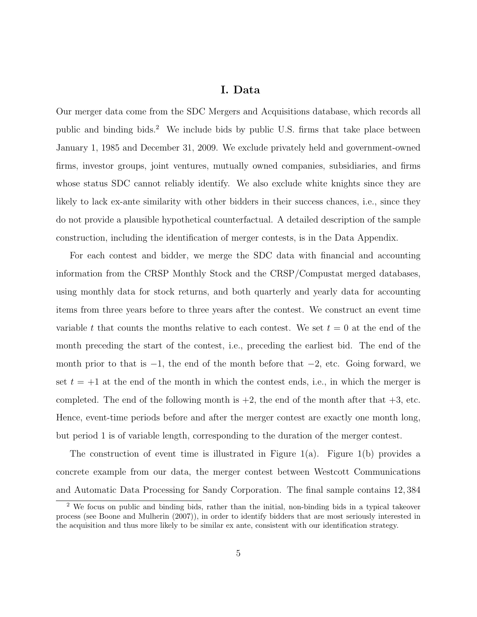### I. Data

Our merger data come from the SDC Mergers and Acquisitions database, which records all public and binding bids.<sup>2</sup> We include bids by public U.S. firms that take place between January 1, 1985 and December 31, 2009. We exclude privately held and government-owned firms, investor groups, joint ventures, mutually owned companies, subsidiaries, and firms whose status SDC cannot reliably identify. We also exclude white knights since they are likely to lack ex-ante similarity with other bidders in their success chances, i.e., since they do not provide a plausible hypothetical counterfactual. A detailed description of the sample construction, including the identification of merger contests, is in the Data Appendix.

For each contest and bidder, we merge the SDC data with financial and accounting information from the CRSP Monthly Stock and the CRSP/Compustat merged databases, using monthly data for stock returns, and both quarterly and yearly data for accounting items from three years before to three years after the contest. We construct an event time variable t that counts the months relative to each contest. We set  $t = 0$  at the end of the month preceding the start of the contest, i.e., preceding the earliest bid. The end of the month prior to that is  $-1$ , the end of the month before that  $-2$ , etc. Going forward, we set  $t = +1$  at the end of the month in which the contest ends, i.e., in which the merger is completed. The end of the following month is  $+2$ , the end of the month after that  $+3$ , etc. Hence, event-time periods before and after the merger contest are exactly one month long, but period 1 is of variable length, corresponding to the duration of the merger contest.

The construction of event time is illustrated in Figure 1(a). Figure 1(b) provides a concrete example from our data, the merger contest between Westcott Communications and Automatic Data Processing for Sandy Corporation. The final sample contains 12, 384

<sup>2</sup> We focus on public and binding bids, rather than the initial, non-binding bids in a typical takeover process (see Boone and Mulherin (2007)), in order to identify bidders that are most seriously interested in the acquisition and thus more likely to be similar ex ante, consistent with our identification strategy.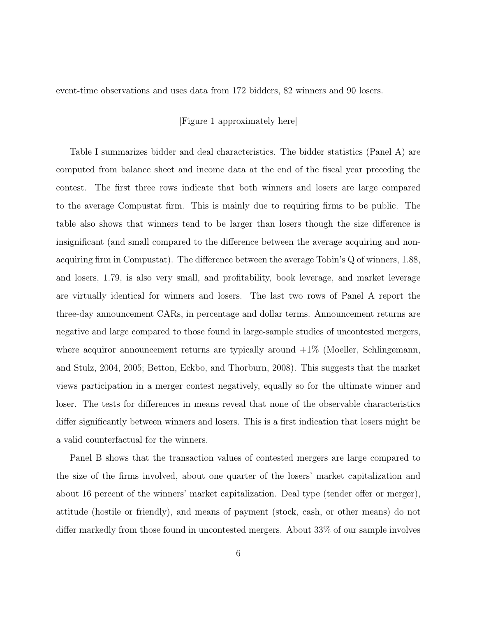event-time observations and uses data from 172 bidders, 82 winners and 90 losers.

[Figure 1 approximately here]

Table I summarizes bidder and deal characteristics. The bidder statistics (Panel A) are computed from balance sheet and income data at the end of the fiscal year preceding the contest. The first three rows indicate that both winners and losers are large compared to the average Compustat firm. This is mainly due to requiring firms to be public. The table also shows that winners tend to be larger than losers though the size difference is insignificant (and small compared to the difference between the average acquiring and nonacquiring firm in Compustat). The difference between the average Tobin's Q of winners, 1.88, and losers, 1.79, is also very small, and profitability, book leverage, and market leverage are virtually identical for winners and losers. The last two rows of Panel A report the three-day announcement CARs, in percentage and dollar terms. Announcement returns are negative and large compared to those found in large-sample studies of uncontested mergers, where acquiror announcement returns are typically around  $+1\%$  (Moeller, Schlingemann, and Stulz, 2004, 2005; Betton, Eckbo, and Thorburn, 2008). This suggests that the market views participation in a merger contest negatively, equally so for the ultimate winner and loser. The tests for differences in means reveal that none of the observable characteristics differ significantly between winners and losers. This is a first indication that losers might be a valid counterfactual for the winners.

Panel B shows that the transaction values of contested mergers are large compared to the size of the firms involved, about one quarter of the losers' market capitalization and about 16 percent of the winners' market capitalization. Deal type (tender offer or merger), attitude (hostile or friendly), and means of payment (stock, cash, or other means) do not differ markedly from those found in uncontested mergers. About 33% of our sample involves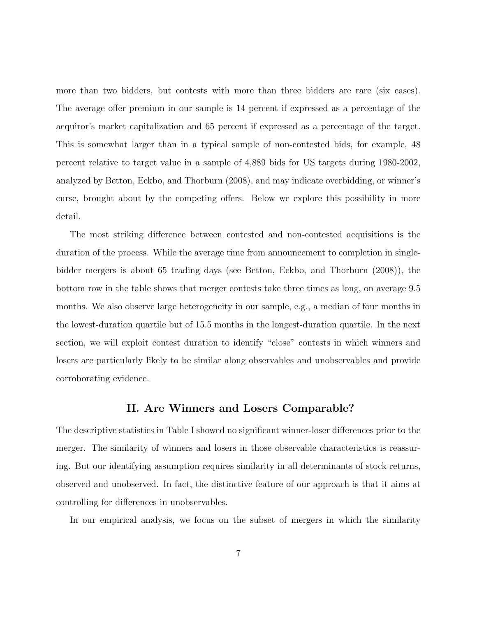more than two bidders, but contests with more than three bidders are rare (six cases). The average offer premium in our sample is 14 percent if expressed as a percentage of the acquiror's market capitalization and 65 percent if expressed as a percentage of the target. This is somewhat larger than in a typical sample of non-contested bids, for example, 48 percent relative to target value in a sample of 4,889 bids for US targets during 1980-2002, analyzed by Betton, Eckbo, and Thorburn (2008), and may indicate overbidding, or winner's curse, brought about by the competing offers. Below we explore this possibility in more detail.

The most striking difference between contested and non-contested acquisitions is the duration of the process. While the average time from announcement to completion in singlebidder mergers is about 65 trading days (see Betton, Eckbo, and Thorburn (2008)), the bottom row in the table shows that merger contests take three times as long, on average 9.5 months. We also observe large heterogeneity in our sample, e.g., a median of four months in the lowest-duration quartile but of 15.5 months in the longest-duration quartile. In the next section, we will exploit contest duration to identify "close" contests in which winners and losers are particularly likely to be similar along observables and unobservables and provide corroborating evidence.

### II. Are Winners and Losers Comparable?

The descriptive statistics in Table I showed no significant winner-loser differences prior to the merger. The similarity of winners and losers in those observable characteristics is reassuring. But our identifying assumption requires similarity in all determinants of stock returns, observed and unobserved. In fact, the distinctive feature of our approach is that it aims at controlling for differences in unobservables.

In our empirical analysis, we focus on the subset of mergers in which the similarity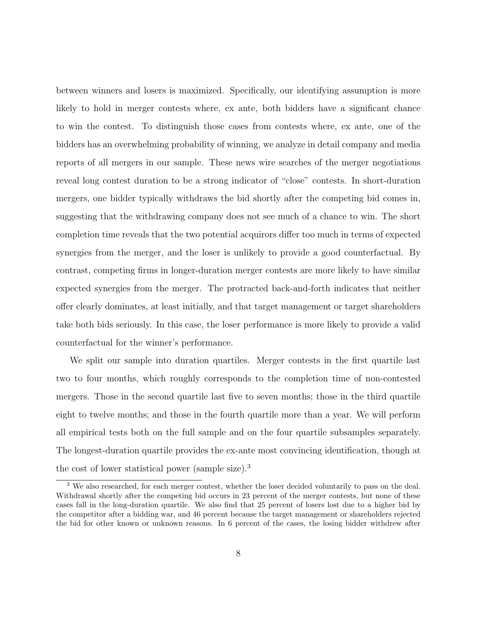between winners and losers is maximized. Specifically, our identifying assumption is more likely to hold in merger contests where, ex ante, both bidders have a significant chance to win the contest. To distinguish those cases from contests where, ex ante, one of the bidders has an overwhelming probability of winning, we analyze in detail company and media reports of all mergers in our sample. These news wire searches of the merger negotiations reveal long contest duration to be a strong indicator of "close" contests. In short-duration mergers, one bidder typically withdraws the bid shortly after the competing bid comes in, suggesting that the withdrawing company does not see much of a chance to win. The short completion time reveals that the two potential acquirors differ too much in terms of expected synergies from the merger, and the loser is unlikely to provide a good counterfactual. By contrast, competing firms in longer-duration merger contests are more likely to have similar expected synergies from the merger. The protracted back-and-forth indicates that neither offer clearly dominates, at least initially, and that target management or target shareholders take both bids seriously. In this case, the loser performance is more likely to provide a valid counterfactual for the winner's performance.

We split our sample into duration quartiles. Merger contests in the first quartile last two to four months, which roughly corresponds to the completion time of non-contested mergers. Those in the second quartile last five to seven months; those in the third quartile eight to twelve months; and those in the fourth quartile more than a year. We will perform all empirical tests both on the full sample and on the four quartile subsamples separately. The longest-duration quartile provides the ex-ante most convincing identification, though at the cost of lower statistical power (sample size).<sup>3</sup>

<sup>3</sup> We also researched, for each merger contest, whether the loser decided voluntarily to pass on the deal. Withdrawal shortly after the competing bid occurs in 23 percent of the merger contests, but none of these cases fall in the long-duration quartile. We also find that 25 percent of losers lost due to a higher bid by the competitor after a bidding war, and 46 percent because the target management or shareholders rejected the bid for other known or unknown reasons. In 6 percent of the cases, the losing bidder withdrew after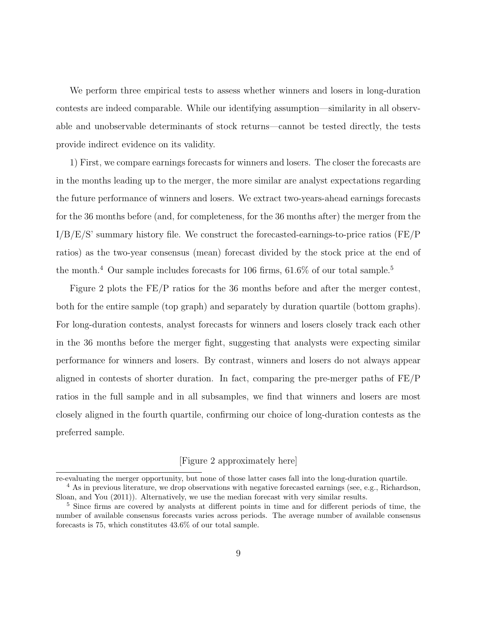We perform three empirical tests to assess whether winners and losers in long-duration contests are indeed comparable. While our identifying assumption—similarity in all observable and unobservable determinants of stock returns—cannot be tested directly, the tests provide indirect evidence on its validity.

1) First, we compare earnings forecasts for winners and losers. The closer the forecasts are in the months leading up to the merger, the more similar are analyst expectations regarding the future performance of winners and losers. We extract two-years-ahead earnings forecasts for the 36 months before (and, for completeness, for the 36 months after) the merger from the I/B/E/S' summary history file. We construct the forecasted-earnings-to-price ratios (FE/P ratios) as the two-year consensus (mean) forecast divided by the stock price at the end of the month.<sup>4</sup> Our sample includes forecasts for 106 firms,  $61.6\%$  of our total sample.<sup>5</sup>

Figure 2 plots the FE/P ratios for the 36 months before and after the merger contest, both for the entire sample (top graph) and separately by duration quartile (bottom graphs). For long-duration contests, analyst forecasts for winners and losers closely track each other in the 36 months before the merger fight, suggesting that analysts were expecting similar performance for winners and losers. By contrast, winners and losers do not always appear aligned in contests of shorter duration. In fact, comparing the pre-merger paths of FE/P ratios in the full sample and in all subsamples, we find that winners and losers are most closely aligned in the fourth quartile, confirming our choice of long-duration contests as the preferred sample.

### [Figure 2 approximately here]

re-evaluating the merger opportunity, but none of those latter cases fall into the long-duration quartile.

<sup>&</sup>lt;sup>4</sup> As in previous literature, we drop observations with negative forecasted earnings (see, e.g., Richardson, Sloan, and You (2011)). Alternatively, we use the median forecast with very similar results.

<sup>&</sup>lt;sup>5</sup> Since firms are covered by analysts at different points in time and for different periods of time, the number of available consensus forecasts varies across periods. The average number of available consensus forecasts is 75, which constitutes 43.6% of our total sample.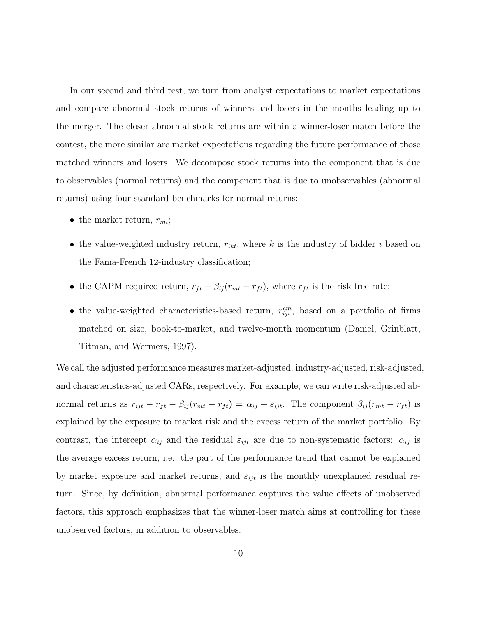In our second and third test, we turn from analyst expectations to market expectations and compare abnormal stock returns of winners and losers in the months leading up to the merger. The closer abnormal stock returns are within a winner-loser match before the contest, the more similar are market expectations regarding the future performance of those matched winners and losers. We decompose stock returns into the component that is due to observables (normal returns) and the component that is due to unobservables (abnormal returns) using four standard benchmarks for normal returns:

- the market return,  $r_{mt}$ ;
- the value-weighted industry return,  $r_{ikt}$ , where k is the industry of bidder i based on the Fama-French 12-industry classification;
- the CAPM required return,  $r_{ft} + \beta_{ij}(r_{mt} r_{ft})$ , where  $r_{ft}$  is the risk free rate;
- the value-weighted characteristics-based return,  $r_{ijt}^{cm}$ , based on a portfolio of firms matched on size, book-to-market, and twelve-month momentum (Daniel, Grinblatt, Titman, and Wermers, 1997).

We call the adjusted performance measures market-adjusted, industry-adjusted, risk-adjusted, and characteristics-adjusted CARs, respectively. For example, we can write risk-adjusted abnormal returns as  $r_{ijt} - r_{ft} - \beta_{ij}(r_{mt} - r_{ft}) = \alpha_{ij} + \varepsilon_{ijt}$ . The component  $\beta_{ij}(r_{mt} - r_{ft})$  is explained by the exposure to market risk and the excess return of the market portfolio. By contrast, the intercept  $\alpha_{ij}$  and the residual  $\varepsilon_{ijt}$  are due to non-systematic factors:  $\alpha_{ij}$  is the average excess return, i.e., the part of the performance trend that cannot be explained by market exposure and market returns, and  $\varepsilon_{ijt}$  is the monthly unexplained residual return. Since, by definition, abnormal performance captures the value effects of unobserved factors, this approach emphasizes that the winner-loser match aims at controlling for these unobserved factors, in addition to observables.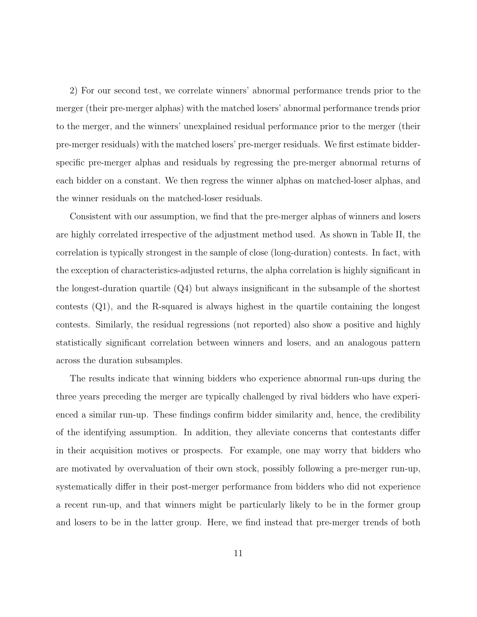2) For our second test, we correlate winners' abnormal performance trends prior to the merger (their pre-merger alphas) with the matched losers' abnormal performance trends prior to the merger, and the winners' unexplained residual performance prior to the merger (their pre-merger residuals) with the matched losers' pre-merger residuals. We first estimate bidderspecific pre-merger alphas and residuals by regressing the pre-merger abnormal returns of each bidder on a constant. We then regress the winner alphas on matched-loser alphas, and the winner residuals on the matched-loser residuals.

Consistent with our assumption, we find that the pre-merger alphas of winners and losers are highly correlated irrespective of the adjustment method used. As shown in Table II, the correlation is typically strongest in the sample of close (long-duration) contests. In fact, with the exception of characteristics-adjusted returns, the alpha correlation is highly significant in the longest-duration quartile (Q4) but always insignificant in the subsample of the shortest contests (Q1), and the R-squared is always highest in the quartile containing the longest contests. Similarly, the residual regressions (not reported) also show a positive and highly statistically significant correlation between winners and losers, and an analogous pattern across the duration subsamples.

The results indicate that winning bidders who experience abnormal run-ups during the three years preceding the merger are typically challenged by rival bidders who have experienced a similar run-up. These findings confirm bidder similarity and, hence, the credibility of the identifying assumption. In addition, they alleviate concerns that contestants differ in their acquisition motives or prospects. For example, one may worry that bidders who are motivated by overvaluation of their own stock, possibly following a pre-merger run-up, systematically differ in their post-merger performance from bidders who did not experience a recent run-up, and that winners might be particularly likely to be in the former group and losers to be in the latter group. Here, we find instead that pre-merger trends of both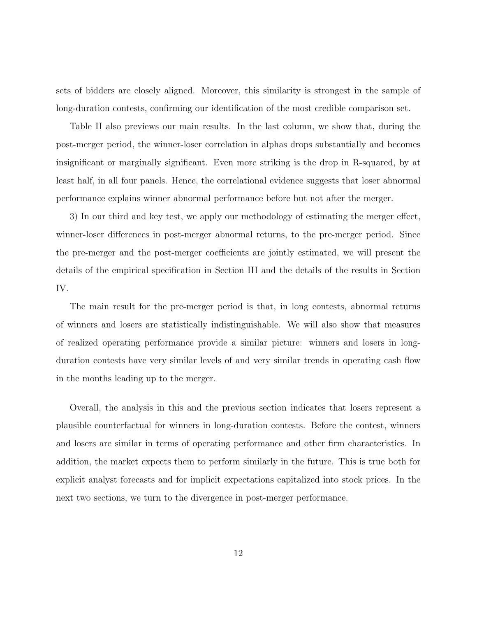sets of bidders are closely aligned. Moreover, this similarity is strongest in the sample of long-duration contests, confirming our identification of the most credible comparison set.

Table II also previews our main results. In the last column, we show that, during the post-merger period, the winner-loser correlation in alphas drops substantially and becomes insignificant or marginally significant. Even more striking is the drop in R-squared, by at least half, in all four panels. Hence, the correlational evidence suggests that loser abnormal performance explains winner abnormal performance before but not after the merger.

3) In our third and key test, we apply our methodology of estimating the merger effect, winner-loser differences in post-merger abnormal returns, to the pre-merger period. Since the pre-merger and the post-merger coefficients are jointly estimated, we will present the details of the empirical specification in Section III and the details of the results in Section IV.

The main result for the pre-merger period is that, in long contests, abnormal returns of winners and losers are statistically indistinguishable. We will also show that measures of realized operating performance provide a similar picture: winners and losers in longduration contests have very similar levels of and very similar trends in operating cash flow in the months leading up to the merger.

Overall, the analysis in this and the previous section indicates that losers represent a plausible counterfactual for winners in long-duration contests. Before the contest, winners and losers are similar in terms of operating performance and other firm characteristics. In addition, the market expects them to perform similarly in the future. This is true both for explicit analyst forecasts and for implicit expectations capitalized into stock prices. In the next two sections, we turn to the divergence in post-merger performance.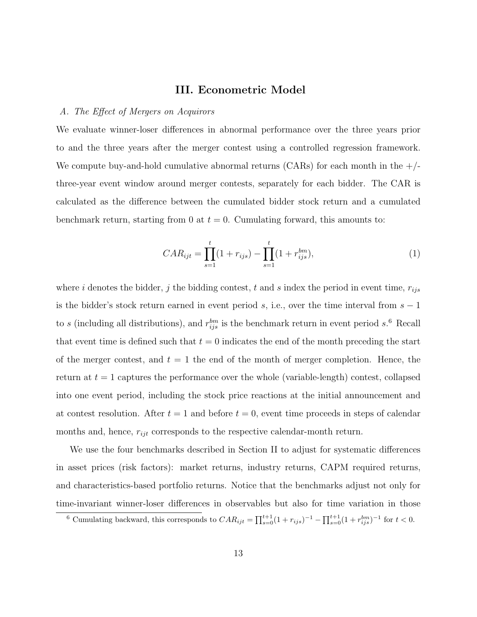### III. Econometric Model

### A. The Effect of Mergers on Acquirors

We evaluate winner-loser differences in abnormal performance over the three years prior to and the three years after the merger contest using a controlled regression framework. We compute buy-and-hold cumulative abnormal returns (CARs) for each month in the  $+/$ three-year event window around merger contests, separately for each bidder. The CAR is calculated as the difference between the cumulated bidder stock return and a cumulated benchmark return, starting from 0 at  $t = 0$ . Cumulating forward, this amounts to:

$$
CAR_{ijt} = \prod_{s=1}^{t} (1 + r_{ijs}) - \prod_{s=1}^{t} (1 + r_{ijs}^{bm}),
$$
\n(1)

where i denotes the bidder, j the bidding contest, t and s index the period in event time,  $r_{ijs}$ is the bidder's stock return earned in event period s, i.e., over the time interval from  $s - 1$ to s (including all distributions), and  $r_{ijs}^{bm}$  is the benchmark return in event period s.<sup>6</sup> Recall that event time is defined such that  $t = 0$  indicates the end of the month preceding the start of the merger contest, and  $t = 1$  the end of the month of merger completion. Hence, the return at  $t = 1$  captures the performance over the whole (variable-length) contest, collapsed into one event period, including the stock price reactions at the initial announcement and at contest resolution. After  $t = 1$  and before  $t = 0$ , event time proceeds in steps of calendar months and, hence,  $r_{ijt}$  corresponds to the respective calendar-month return.

We use the four benchmarks described in Section II to adjust for systematic differences in asset prices (risk factors): market returns, industry returns, CAPM required returns, and characteristics-based portfolio returns. Notice that the benchmarks adjust not only for time-invariant winner-loser differences in observables but also for time variation in those

<sup>&</sup>lt;sup>6</sup> Cumulating backward, this corresponds to  $CAR_{ijt} = \prod_{s=0}^{t+1} (1 + r_{ijs})^{-1} - \prod_{s=0}^{t+1} (1 + r_{ijs}^{bm})^{-1}$  for  $t < 0$ .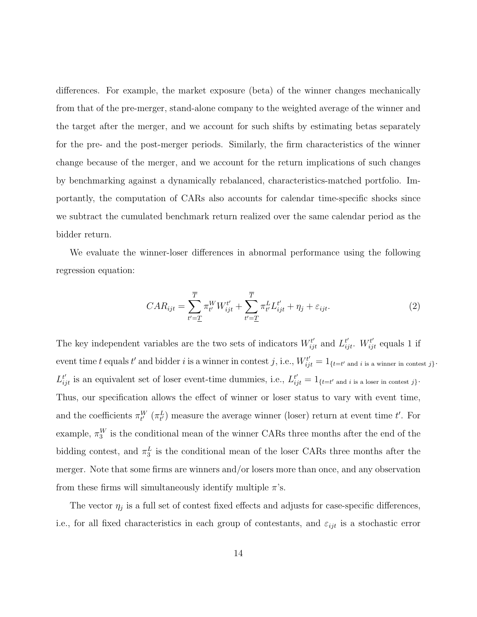differences. For example, the market exposure (beta) of the winner changes mechanically from that of the pre-merger, stand-alone company to the weighted average of the winner and the target after the merger, and we account for such shifts by estimating betas separately for the pre- and the post-merger periods. Similarly, the firm characteristics of the winner change because of the merger, and we account for the return implications of such changes by benchmarking against a dynamically rebalanced, characteristics-matched portfolio. Importantly, the computation of CARs also accounts for calendar time-specific shocks since we subtract the cumulated benchmark return realized over the same calendar period as the bidder return.

We evaluate the winner-loser differences in abnormal performance using the following regression equation:

$$
CAR_{ijt} = \sum_{t'=1}^{\overline{T}} \pi_{t'}^W W_{ijt}^{t'} + \sum_{t'=1}^{\overline{T}} \pi_{t'}^L L_{ijt}^{t'} + \eta_j + \varepsilon_{ijt}.
$$
 (2)

The key independent variables are the two sets of indicators  $W_{ijt}^{t'}$  and  $L_{ijt}^{t'}$ .  $W_{ijt}^{t'}$  equals 1 if event time t equals t' and bidder i is a winner in contest j, i.e.,  $W_{ijt}^{t'} = 1_{\{t=t'\text{ and }i\text{ is a winner in contest }j\}}$ .  $L_{ijt}^{t'}$  is an equivalent set of loser event-time dummies, i.e.,  $L_{ijt}^{t'} = 1_{\{t=t'\text{ and }i\text{ is a loser in contest }j\}}$ . Thus, our specification allows the effect of winner or loser status to vary with event time, and the coefficients  $\pi_{t'}^W(\pi_{t'}^L)$  measure the average winner (loser) return at event time t'. For example,  $\pi_3^W$  is the conditional mean of the winner CARs three months after the end of the bidding contest, and  $\pi_3^L$  is the conditional mean of the loser CARs three months after the merger. Note that some firms are winners and/or losers more than once, and any observation from these firms will simultaneously identify multiple  $\pi$ 's.

The vector  $\eta_j$  is a full set of contest fixed effects and adjusts for case-specific differences, i.e., for all fixed characteristics in each group of contestants, and  $\varepsilon_{ijt}$  is a stochastic error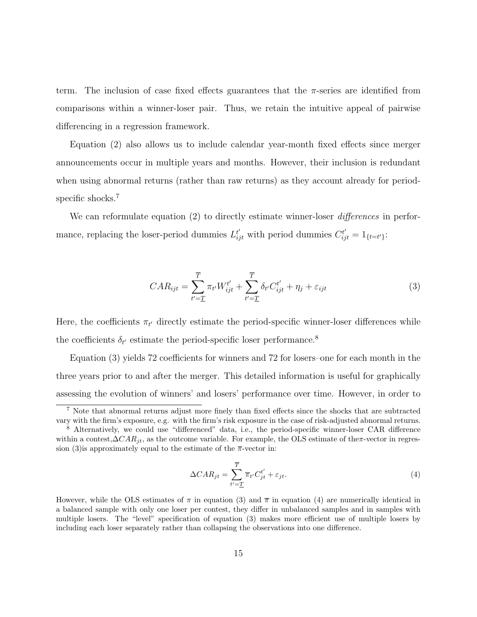term. The inclusion of case fixed effects guarantees that the  $\pi$ -series are identified from comparisons within a winner-loser pair. Thus, we retain the intuitive appeal of pairwise differencing in a regression framework.

Equation (2) also allows us to include calendar year-month fixed effects since merger announcements occur in multiple years and months. However, their inclusion is redundant when using abnormal returns (rather than raw returns) as they account already for periodspecific shocks.<sup>7</sup>

We can reformulate equation (2) to directly estimate winner-loser *differences* in performance, replacing the loser-period dummies  $L_{ijt}^{t'}$  with period dummies  $C_{ijt}^{t'} = 1_{\{t=t'\}}$ :

$$
CAR_{ijt} = \sum_{t'=T}^T \pi_{t'} W_{ijt}^{t'} + \sum_{t'=T}^T \delta_{t'} C_{ijt}^{t'} + \eta_j + \varepsilon_{ijt}
$$
\n
$$
\tag{3}
$$

Here, the coefficients  $\pi_{t'}$  directly estimate the period-specific winner-loser differences while the coefficients  $\delta_{t'}$  estimate the period-specific loser performance.<sup>8</sup>

Equation (3) yields 72 coefficients for winners and 72 for losers–one for each month in the three years prior to and after the merger. This detailed information is useful for graphically assessing the evolution of winners' and losers' performance over time. However, in order to

$$
\Delta CAR_{jt} = \sum_{t'=1}^{T} \overline{\pi}_{t'} C_{jt}^{t'} + \varepsilon_{jt}.
$$
\n(4)

<sup>7</sup> Note that abnormal returns adjust more finely than fixed effects since the shocks that are subtracted vary with the firm's exposure, e.g. with the firm's risk exposure in the case of risk-adjusted abnormal returns.

<sup>8</sup> Alternatively, we could use "differenced" data, i.e., the period-specific winner-loser CAR difference within a contest, $\Delta CAR_{it}$ , as the outcome variable. For example, the OLS estimate of theπ-vector in regression (3) is approximately equal to the estimate of the  $\bar{\pi}$ -vector in:

However, while the OLS estimates of  $\pi$  in equation (3) and  $\overline{\pi}$  in equation (4) are numerically identical in a balanced sample with only one loser per contest, they differ in unbalanced samples and in samples with multiple losers. The "level" specification of equation (3) makes more efficient use of multiple losers by including each loser separately rather than collapsing the observations into one difference.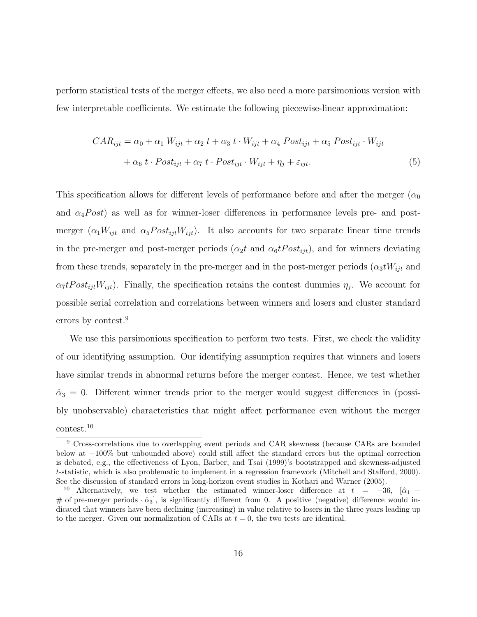perform statistical tests of the merger effects, we also need a more parsimonious version with few interpretable coefficients. We estimate the following piecewise-linear approximation:

$$
CAR_{ijt} = \alpha_0 + \alpha_1 W_{ijt} + \alpha_2 t + \alpha_3 t \cdot W_{ijt} + \alpha_4 Post_{ijt} + \alpha_5 Post_{ijt} \cdot W_{ijt}
$$

$$
+ \alpha_6 t \cdot Post_{ijt} + \alpha_7 t \cdot Post_{ijt} \cdot W_{ijt} + \eta_j + \varepsilon_{ijt}.
$$

$$
\tag{5}
$$

This specification allows for different levels of performance before and after the merger ( $\alpha_0$ ) and  $\alpha_4 Post$  as well as for winner-loser differences in performance levels pre- and postmerger  $(\alpha_1 W_{ijt}$  and  $\alpha_5 Post_{ijt}W_{ijt})$ . It also accounts for two separate linear time trends in the pre-merger and post-merger periods  $(\alpha_2 t \text{ and } \alpha_6 t \text{Post}_{i\text{it}})$ , and for winners deviating from these trends, separately in the pre-merger and in the post-merger periods  $(\alpha_3 tW_{ijt}$  and  $\alpha_7 t Post_{ijt} W_{ijt}$ . Finally, the specification retains the contest dummies  $\eta_j$ . We account for possible serial correlation and correlations between winners and losers and cluster standard errors by contest.<sup>9</sup>

We use this parsimonious specification to perform two tests. First, we check the validity of our identifying assumption. Our identifying assumption requires that winners and losers have similar trends in abnormal returns before the merger contest. Hence, we test whether  $\hat{\alpha}_3 = 0$ . Different winner trends prior to the merger would suggest differences in (possibly unobservable) characteristics that might affect performance even without the merger contest.<sup>10</sup>

<sup>&</sup>lt;sup>9</sup> Cross-correlations due to overlapping event periods and CAR skewness (because CARs are bounded below at −100% but unbounded above) could still affect the standard errors but the optimal correction is debated, e.g., the effectiveness of Lyon, Barber, and Tsai (1999)'s bootstrapped and skewness-adjusted t-statistic, which is also problematic to implement in a regression framework (Mitchell and Stafford, 2000). See the discussion of standard errors in long-horizon event studies in Kothari and Warner (2005).

<sup>&</sup>lt;sup>10</sup> Alternatively, we test whether the estimated winner-loser difference at  $t = -36$ ,  $[\hat{\alpha}_1 -$ # of pre-merger periods  $\cdot \hat{\alpha}_3$ , is significantly different from 0. A positive (negative) difference would indicated that winners have been declining (increasing) in value relative to losers in the three years leading up to the merger. Given our normalization of CARs at  $t = 0$ , the two tests are identical.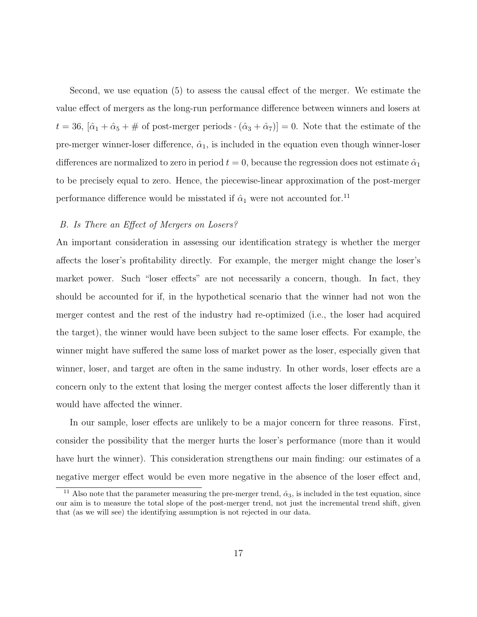Second, we use equation (5) to assess the causal effect of the merger. We estimate the value effect of mergers as the long-run performance difference between winners and losers at  $t = 36$ ,  $[\hat{\alpha}_1 + \hat{\alpha}_5 + \text{\# of post-merger periods} \cdot (\hat{\alpha}_3 + \hat{\alpha}_7)] = 0$ . Note that the estimate of the pre-merger winner-loser difference,  $\hat{\alpha}_1$ , is included in the equation even though winner-loser differences are normalized to zero in period  $t = 0$ , because the regression does not estimate  $\hat{\alpha}_1$ to be precisely equal to zero. Hence, the piecewise-linear approximation of the post-merger performance difference would be misstated if  $\hat{\alpha}_1$  were not accounted for.<sup>11</sup>

### B. Is There an Effect of Mergers on Losers?

An important consideration in assessing our identification strategy is whether the merger affects the loser's profitability directly. For example, the merger might change the loser's market power. Such "loser effects" are not necessarily a concern, though. In fact, they should be accounted for if, in the hypothetical scenario that the winner had not won the merger contest and the rest of the industry had re-optimized (i.e., the loser had acquired the target), the winner would have been subject to the same loser effects. For example, the winner might have suffered the same loss of market power as the loser, especially given that winner, loser, and target are often in the same industry. In other words, loser effects are a concern only to the extent that losing the merger contest affects the loser differently than it would have affected the winner.

In our sample, loser effects are unlikely to be a major concern for three reasons. First, consider the possibility that the merger hurts the loser's performance (more than it would have hurt the winner). This consideration strengthens our main finding: our estimates of a negative merger effect would be even more negative in the absence of the loser effect and,

Also note that the parameter measuring the pre-merger trend,  $\hat{\alpha}_3$ , is included in the test equation, since our aim is to measure the total slope of the post-merger trend, not just the incremental trend shift, given that (as we will see) the identifying assumption is not rejected in our data.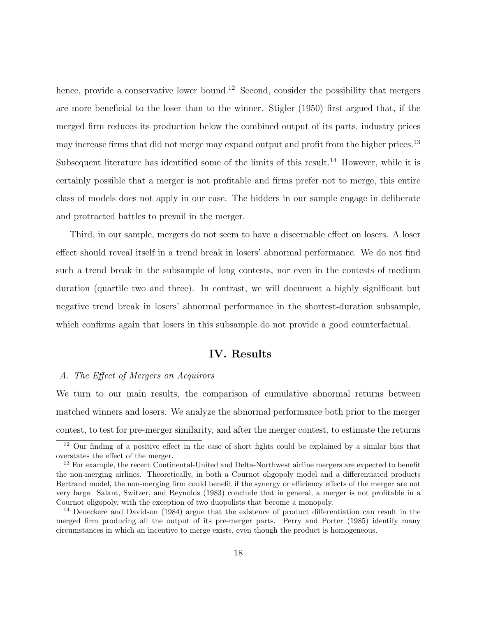hence, provide a conservative lower bound.<sup>12</sup> Second, consider the possibility that mergers are more beneficial to the loser than to the winner. Stigler (1950) first argued that, if the merged firm reduces its production below the combined output of its parts, industry prices may increase firms that did not merge may expand output and profit from the higher prices.<sup>13</sup> Subsequent literature has identified some of the limits of this result.<sup>14</sup> However, while it is certainly possible that a merger is not profitable and firms prefer not to merge, this entire class of models does not apply in our case. The bidders in our sample engage in deliberate and protracted battles to prevail in the merger.

Third, in our sample, mergers do not seem to have a discernable effect on losers. A loser effect should reveal itself in a trend break in losers' abnormal performance. We do not find such a trend break in the subsample of long contests, nor even in the contests of medium duration (quartile two and three). In contrast, we will document a highly significant but negative trend break in losers' abnormal performance in the shortest-duration subsample, which confirms again that losers in this subsample do not provide a good counterfactual.

### IV. Results

### A. The Effect of Mergers on Acquirors

We turn to our main results, the comparison of cumulative abnormal returns between matched winners and losers. We analyze the abnormal performance both prior to the merger contest, to test for pre-merger similarity, and after the merger contest, to estimate the returns

<sup>&</sup>lt;sup>12</sup> Our finding of a positive effect in the case of short fights could be explained by a similar bias that overstates the effect of the merger.

<sup>&</sup>lt;sup>13</sup> For example, the recent Continental-United and Delta-Northwest airline mergers are expected to benefit the non-merging airlines. Theoretically, in both a Cournot oligopoly model and a differentiated products Bertrand model, the non-merging firm could benefit if the synergy or efficiency effects of the merger are not very large. Salant, Switzer, and Reynolds (1983) conclude that in general, a merger is not profitable in a Cournot oligopoly, with the exception of two duopolists that become a monopoly.

<sup>14</sup> Deneckere and Davidson (1984) argue that the existence of product differentiation can result in the merged firm producing all the output of its pre-merger parts. Perry and Porter (1985) identify many circumstances in which an incentive to merge exists, even though the product is homogeneous.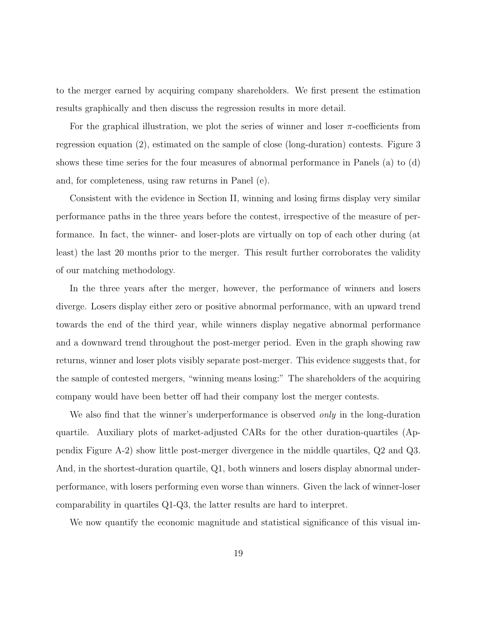to the merger earned by acquiring company shareholders. We first present the estimation results graphically and then discuss the regression results in more detail.

For the graphical illustration, we plot the series of winner and loser  $\pi$ -coefficients from regression equation (2), estimated on the sample of close (long-duration) contests. Figure 3 shows these time series for the four measures of abnormal performance in Panels (a) to (d) and, for completeness, using raw returns in Panel (e).

Consistent with the evidence in Section II, winning and losing firms display very similar performance paths in the three years before the contest, irrespective of the measure of performance. In fact, the winner- and loser-plots are virtually on top of each other during (at least) the last 20 months prior to the merger. This result further corroborates the validity of our matching methodology.

In the three years after the merger, however, the performance of winners and losers diverge. Losers display either zero or positive abnormal performance, with an upward trend towards the end of the third year, while winners display negative abnormal performance and a downward trend throughout the post-merger period. Even in the graph showing raw returns, winner and loser plots visibly separate post-merger. This evidence suggests that, for the sample of contested mergers, "winning means losing:" The shareholders of the acquiring company would have been better off had their company lost the merger contests.

We also find that the winner's underperformance is observed *only* in the long-duration quartile. Auxiliary plots of market-adjusted CARs for the other duration-quartiles (Appendix Figure A-2) show little post-merger divergence in the middle quartiles, Q2 and Q3. And, in the shortest-duration quartile, Q1, both winners and losers display abnormal underperformance, with losers performing even worse than winners. Given the lack of winner-loser comparability in quartiles Q1-Q3, the latter results are hard to interpret.

We now quantify the economic magnitude and statistical significance of this visual im-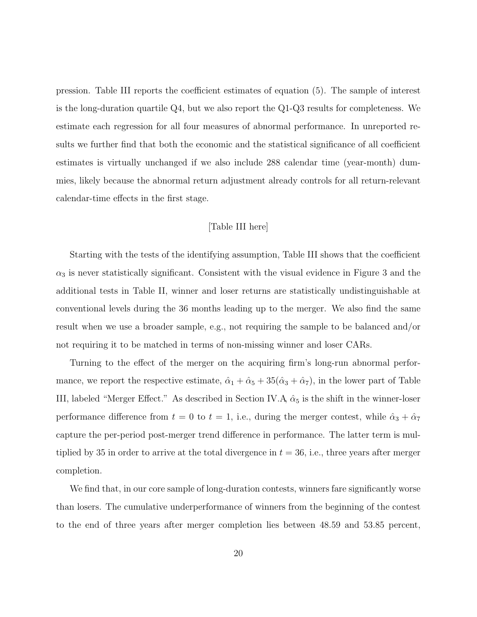pression. Table III reports the coefficient estimates of equation (5). The sample of interest is the long-duration quartile Q4, but we also report the Q1-Q3 results for completeness. We estimate each regression for all four measures of abnormal performance. In unreported results we further find that both the economic and the statistical significance of all coefficient estimates is virtually unchanged if we also include 288 calendar time (year-month) dummies, likely because the abnormal return adjustment already controls for all return-relevant calendar-time effects in the first stage.

### [Table III here]

Starting with the tests of the identifying assumption, Table III shows that the coefficient  $\alpha_3$  is never statistically significant. Consistent with the visual evidence in Figure 3 and the additional tests in Table II, winner and loser returns are statistically undistinguishable at conventional levels during the 36 months leading up to the merger. We also find the same result when we use a broader sample, e.g., not requiring the sample to be balanced and/or not requiring it to be matched in terms of non-missing winner and loser CARs.

Turning to the effect of the merger on the acquiring firm's long-run abnormal performance, we report the respective estimate,  $\hat{\alpha}_1 + \hat{\alpha}_5 + 35(\hat{\alpha}_3 + \hat{\alpha}_7)$ , in the lower part of Table III, labeled "Merger Effect." As described in Section IV.A,  $\hat{\alpha}_5$  is the shift in the winner-loser performance difference from  $t = 0$  to  $t = 1$ , i.e., during the merger contest, while  $\hat{\alpha}_3 + \hat{\alpha}_7$ capture the per-period post-merger trend difference in performance. The latter term is multiplied by 35 in order to arrive at the total divergence in  $t = 36$ , i.e., three years after merger completion.

We find that, in our core sample of long-duration contests, winners fare significantly worse than losers. The cumulative underperformance of winners from the beginning of the contest to the end of three years after merger completion lies between 48.59 and 53.85 percent,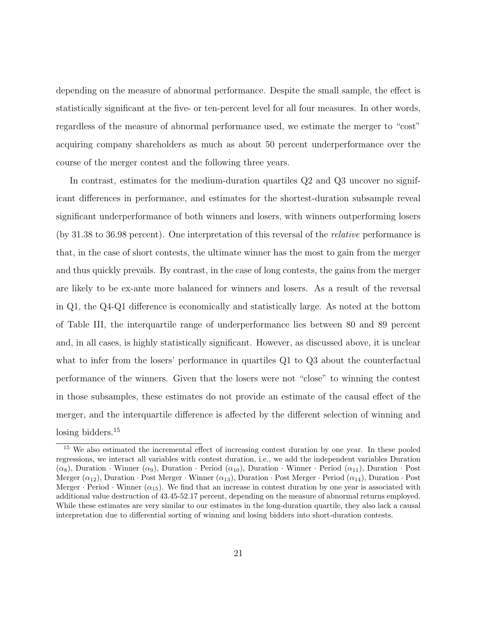depending on the measure of abnormal performance. Despite the small sample, the effect is statistically significant at the five- or ten-percent level for all four measures. In other words, regardless of the measure of abnormal performance used, we estimate the merger to "cost" acquiring company shareholders as much as about 50 percent underperformance over the course of the merger contest and the following three years.

In contrast, estimates for the medium-duration quartiles Q2 and Q3 uncover no significant differences in performance, and estimates for the shortest-duration subsample reveal significant underperformance of both winners and losers, with winners outperforming losers (by 31.38 to 36.98 percent). One interpretation of this reversal of the relative performance is that, in the case of short contests, the ultimate winner has the most to gain from the merger and thus quickly prevails. By contrast, in the case of long contests, the gains from the merger are likely to be ex-ante more balanced for winners and losers. As a result of the reversal in Q1, the Q4-Q1 difference is economically and statistically large. As noted at the bottom of Table III, the interquartile range of underperformance lies between 80 and 89 percent and, in all cases, is highly statistically significant. However, as discussed above, it is unclear what to infer from the losers' performance in quartiles Q1 to Q3 about the counterfactual performance of the winners. Given that the losers were not "close" to winning the contest in those subsamples, these estimates do not provide an estimate of the causal effect of the merger, and the interquartile difference is affected by the different selection of winning and losing bidders.<sup>15</sup>

<sup>15</sup> We also estimated the incremental effect of increasing contest duration by one year. In these pooled regressions, we interact all variables with contest duration, i.e., we add the independent variables Duration  $(\alpha_8)$ , Duration · Winner  $(\alpha_9)$ , Duration · Period  $(\alpha_{10})$ , Duration · Winner · Period  $(\alpha_{11})$ , Duration · Post Merger  $(\alpha_{12})$ , Duration · Post Merger · Winner  $(\alpha_{13})$ , Duration · Post Merger · Period  $(\alpha_{14})$ , Duration · Post Merger · Period · Winner  $(\alpha_{15})$ . We find that an increase in contest duration by one year is associated with additional value destruction of 43.45-52.17 percent, depending on the measure of abnormal returns employed. While these estimates are very similar to our estimates in the long-duration quartile, they also lack a causal interpretation due to differential sorting of winning and losing bidders into short-duration contests.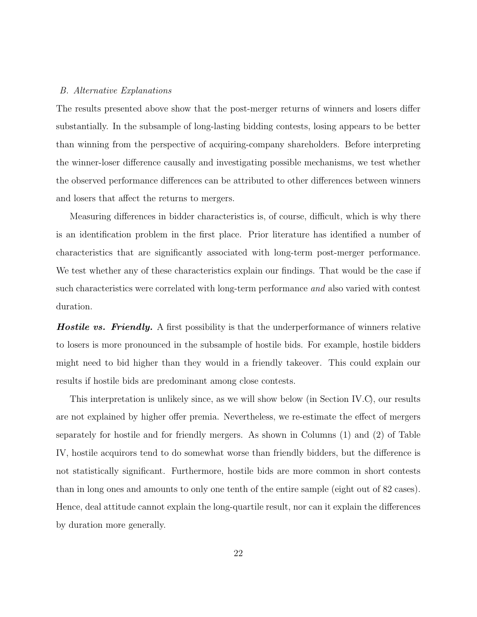### B. Alternative Explanations

The results presented above show that the post-merger returns of winners and losers differ substantially. In the subsample of long-lasting bidding contests, losing appears to be better than winning from the perspective of acquiring-company shareholders. Before interpreting the winner-loser difference causally and investigating possible mechanisms, we test whether the observed performance differences can be attributed to other differences between winners and losers that affect the returns to mergers.

Measuring differences in bidder characteristics is, of course, difficult, which is why there is an identification problem in the first place. Prior literature has identified a number of characteristics that are significantly associated with long-term post-merger performance. We test whether any of these characteristics explain our findings. That would be the case if such characteristics were correlated with long-term performance and also varied with contest duration.

**Hostile vs. Friendly.** A first possibility is that the underperformance of winners relative to losers is more pronounced in the subsample of hostile bids. For example, hostile bidders might need to bid higher than they would in a friendly takeover. This could explain our results if hostile bids are predominant among close contests.

This interpretation is unlikely since, as we will show below (in Section IV.C), our results are not explained by higher offer premia. Nevertheless, we re-estimate the effect of mergers separately for hostile and for friendly mergers. As shown in Columns (1) and (2) of Table IV, hostile acquirors tend to do somewhat worse than friendly bidders, but the difference is not statistically significant. Furthermore, hostile bids are more common in short contests than in long ones and amounts to only one tenth of the entire sample (eight out of 82 cases). Hence, deal attitude cannot explain the long-quartile result, nor can it explain the differences by duration more generally.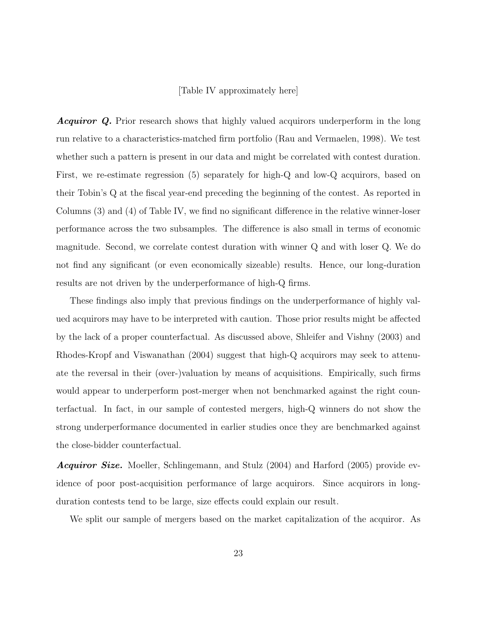### [Table IV approximately here]

**Acquiror Q.** Prior research shows that highly valued acquirors underperform in the long run relative to a characteristics-matched firm portfolio (Rau and Vermaelen, 1998). We test whether such a pattern is present in our data and might be correlated with contest duration. First, we re-estimate regression (5) separately for high-Q and low-Q acquirors, based on their Tobin's Q at the fiscal year-end preceding the beginning of the contest. As reported in Columns (3) and (4) of Table IV, we find no significant difference in the relative winner-loser performance across the two subsamples. The difference is also small in terms of economic magnitude. Second, we correlate contest duration with winner Q and with loser Q. We do not find any significant (or even economically sizeable) results. Hence, our long-duration results are not driven by the underperformance of high-Q firms.

These findings also imply that previous findings on the underperformance of highly valued acquirors may have to be interpreted with caution. Those prior results might be affected by the lack of a proper counterfactual. As discussed above, Shleifer and Vishny (2003) and Rhodes-Kropf and Viswanathan (2004) suggest that high-Q acquirors may seek to attenuate the reversal in their (over-)valuation by means of acquisitions. Empirically, such firms would appear to underperform post-merger when not benchmarked against the right counterfactual. In fact, in our sample of contested mergers, high-Q winners do not show the strong underperformance documented in earlier studies once they are benchmarked against the close-bidder counterfactual.

**Acquiror Size.** Moeller, Schlingemann, and Stulz (2004) and Harford (2005) provide evidence of poor post-acquisition performance of large acquirors. Since acquirors in longduration contests tend to be large, size effects could explain our result.

We split our sample of mergers based on the market capitalization of the acquiror. As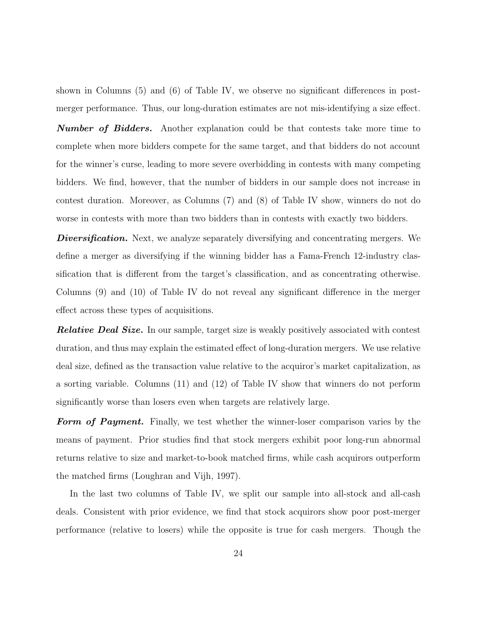shown in Columns (5) and (6) of Table IV, we observe no significant differences in postmerger performance. Thus, our long-duration estimates are not mis-identifying a size effect.

**Number of Bidders.** Another explanation could be that contests take more time to complete when more bidders compete for the same target, and that bidders do not account for the winner's curse, leading to more severe overbidding in contests with many competing bidders. We find, however, that the number of bidders in our sample does not increase in contest duration. Moreover, as Columns (7) and (8) of Table IV show, winners do not do worse in contests with more than two bidders than in contests with exactly two bidders.

**Diversification.** Next, we analyze separately diversifying and concentrating mergers. We define a merger as diversifying if the winning bidder has a Fama-French 12-industry classification that is different from the target's classification, and as concentrating otherwise. Columns (9) and (10) of Table IV do not reveal any significant difference in the merger effect across these types of acquisitions.

**Relative Deal Size.** In our sample, target size is weakly positively associated with contest duration, and thus may explain the estimated effect of long-duration mergers. We use relative deal size, defined as the transaction value relative to the acquiror's market capitalization, as a sorting variable. Columns (11) and (12) of Table IV show that winners do not perform significantly worse than losers even when targets are relatively large.

Form of Payment. Finally, we test whether the winner-loser comparison varies by the means of payment. Prior studies find that stock mergers exhibit poor long-run abnormal returns relative to size and market-to-book matched firms, while cash acquirors outperform the matched firms (Loughran and Vijh, 1997).

In the last two columns of Table IV, we split our sample into all-stock and all-cash deals. Consistent with prior evidence, we find that stock acquirors show poor post-merger performance (relative to losers) while the opposite is true for cash mergers. Though the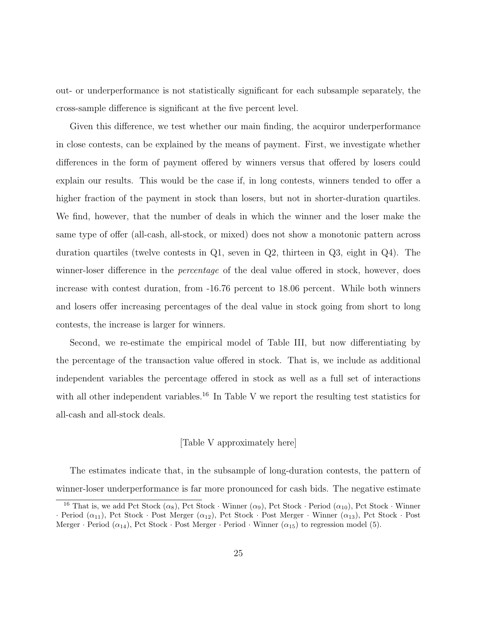out- or underperformance is not statistically significant for each subsample separately, the cross-sample difference is significant at the five percent level.

Given this difference, we test whether our main finding, the acquiror underperformance in close contests, can be explained by the means of payment. First, we investigate whether differences in the form of payment offered by winners versus that offered by losers could explain our results. This would be the case if, in long contests, winners tended to offer a higher fraction of the payment in stock than losers, but not in shorter-duration quartiles. We find, however, that the number of deals in which the winner and the loser make the same type of offer (all-cash, all-stock, or mixed) does not show a monotonic pattern across duration quartiles (twelve contests in Q1, seven in Q2, thirteen in Q3, eight in Q4). The winner-loser difference in the *percentage* of the deal value offered in stock, however, does increase with contest duration, from -16.76 percent to 18.06 percent. While both winners and losers offer increasing percentages of the deal value in stock going from short to long contests, the increase is larger for winners.

Second, we re-estimate the empirical model of Table III, but now differentiating by the percentage of the transaction value offered in stock. That is, we include as additional independent variables the percentage offered in stock as well as a full set of interactions with all other independent variables.<sup>16</sup> In Table V we report the resulting test statistics for all-cash and all-stock deals.

### [Table V approximately here]

The estimates indicate that, in the subsample of long-duration contests, the pattern of winner-loser underperformance is far more pronounced for cash bids. The negative estimate

<sup>&</sup>lt;sup>16</sup> That is, we add Pct Stock ( $\alpha_8$ ), Pct Stock · Winner ( $\alpha_9$ ), Pct Stock · Period ( $\alpha_{10}$ ), Pct Stock · Winner · Period  $(\alpha_{11})$ , Pct Stock · Post Merger  $(\alpha_{12})$ , Pct Stock · Post Merger · Winner  $(\alpha_{13})$ , Pct Stock · Post Merger · Period  $(\alpha_{14})$ , Pct Stock · Post Merger · Period · Winner  $(\alpha_{15})$  to regression model (5).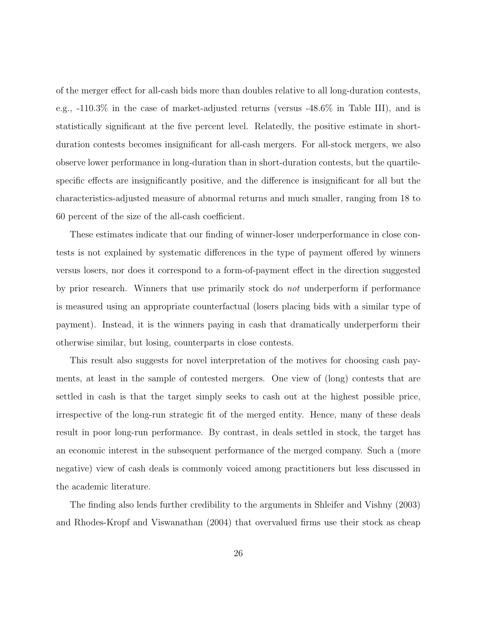of the merger effect for all-cash bids more than doubles relative to all long-duration contests, e.g., -110.3% in the case of market-adjusted returns (versus -48.6% in Table III), and is statistically significant at the five percent level. Relatedly, the positive estimate in shortduration contests becomes insignificant for all-cash mergers. For all-stock mergers, we also observe lower performance in long-duration than in short-duration contests, but the quartilespecific effects are insignificantly positive, and the difference is insignificant for all but the characteristics-adjusted measure of abnormal returns and much smaller, ranging from 18 to 60 percent of the size of the all-cash coefficient.

These estimates indicate that our finding of winner-loser underperformance in close contests is not explained by systematic differences in the type of payment offered by winners versus losers, nor does it correspond to a form-of-payment effect in the direction suggested by prior research. Winners that use primarily stock do not underperform if performance is measured using an appropriate counterfactual (losers placing bids with a similar type of payment). Instead, it is the winners paying in cash that dramatically underperform their otherwise similar, but losing, counterparts in close contests.

This result also suggests for novel interpretation of the motives for choosing cash payments, at least in the sample of contested mergers. One view of (long) contests that are settled in cash is that the target simply seeks to cash out at the highest possible price, irrespective of the long-run strategic fit of the merged entity. Hence, many of these deals result in poor long-run performance. By contrast, in deals settled in stock, the target has an economic interest in the subsequent performance of the merged company. Such a (more negative) view of cash deals is commonly voiced among practitioners but less discussed in the academic literature.

The finding also lends further credibility to the arguments in Shleifer and Vishny (2003) and Rhodes-Kropf and Viswanathan (2004) that overvalued firms use their stock as cheap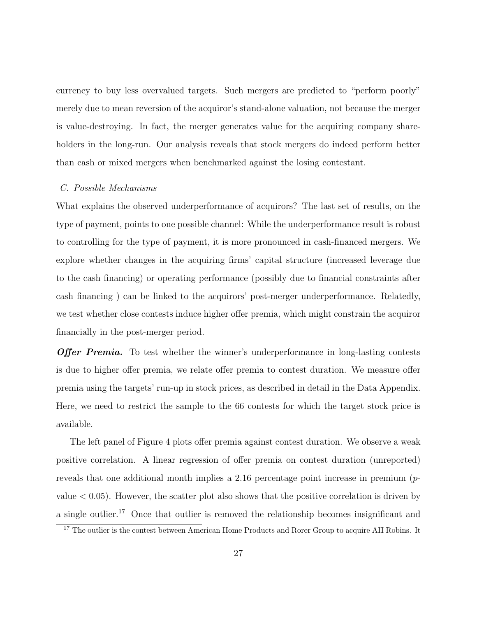currency to buy less overvalued targets. Such mergers are predicted to "perform poorly" merely due to mean reversion of the acquiror's stand-alone valuation, not because the merger is value-destroying. In fact, the merger generates value for the acquiring company shareholders in the long-run. Our analysis reveals that stock mergers do indeed perform better than cash or mixed mergers when benchmarked against the losing contestant.

### C. Possible Mechanisms

What explains the observed underperformance of acquirors? The last set of results, on the type of payment, points to one possible channel: While the underperformance result is robust to controlling for the type of payment, it is more pronounced in cash-financed mergers. We explore whether changes in the acquiring firms' capital structure (increased leverage due to the cash financing) or operating performance (possibly due to financial constraints after cash financing ) can be linked to the acquirors' post-merger underperformance. Relatedly, we test whether close contests induce higher offer premia, which might constrain the acquiror financially in the post-merger period.

**Offer Premia.** To test whether the winner's underperformance in long-lasting contests is due to higher offer premia, we relate offer premia to contest duration. We measure offer premia using the targets' run-up in stock prices, as described in detail in the Data Appendix. Here, we need to restrict the sample to the 66 contests for which the target stock price is available.

The left panel of Figure 4 plots offer premia against contest duration. We observe a weak positive correlation. A linear regression of offer premia on contest duration (unreported) reveals that one additional month implies a 2.16 percentage point increase in premium  $(p$ value  $< 0.05$ ). However, the scatter plot also shows that the positive correlation is driven by a single outlier.<sup>17</sup> Once that outlier is removed the relationship becomes insignificant and

<sup>&</sup>lt;sup>17</sup> The outlier is the contest between American Home Products and Rorer Group to acquire AH Robins. It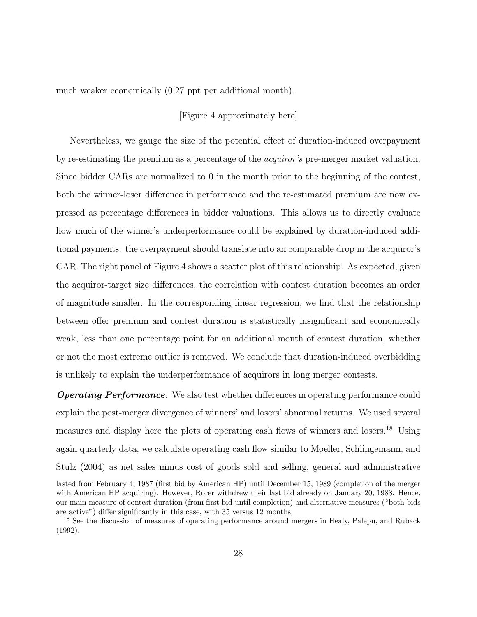much weaker economically (0.27 ppt per additional month).

### [Figure 4 approximately here]

Nevertheless, we gauge the size of the potential effect of duration-induced overpayment by re-estimating the premium as a percentage of the acquiror's pre-merger market valuation. Since bidder CARs are normalized to 0 in the month prior to the beginning of the contest, both the winner-loser difference in performance and the re-estimated premium are now expressed as percentage differences in bidder valuations. This allows us to directly evaluate how much of the winner's underperformance could be explained by duration-induced additional payments: the overpayment should translate into an comparable drop in the acquiror's CAR. The right panel of Figure 4 shows a scatter plot of this relationship. As expected, given the acquiror-target size differences, the correlation with contest duration becomes an order of magnitude smaller. In the corresponding linear regression, we find that the relationship between offer premium and contest duration is statistically insignificant and economically weak, less than one percentage point for an additional month of contest duration, whether or not the most extreme outlier is removed. We conclude that duration-induced overbidding is unlikely to explain the underperformance of acquirors in long merger contests.

**Operating Performance.** We also test whether differences in operating performance could explain the post-merger divergence of winners' and losers' abnormal returns. We used several measures and display here the plots of operating cash flows of winners and losers.<sup>18</sup> Using again quarterly data, we calculate operating cash flow similar to Moeller, Schlingemann, and Stulz (2004) as net sales minus cost of goods sold and selling, general and administrative

lasted from February 4, 1987 (first bid by American HP) until December 15, 1989 (completion of the merger with American HP acquiring). However, Rorer withdrew their last bid already on January 20, 1988. Hence, our main measure of contest duration (from first bid until completion) and alternative measures ("both bids are active") differ significantly in this case, with 35 versus 12 months.

<sup>&</sup>lt;sup>18</sup> See the discussion of measures of operating performance around mergers in Healy, Palepu, and Ruback (1992).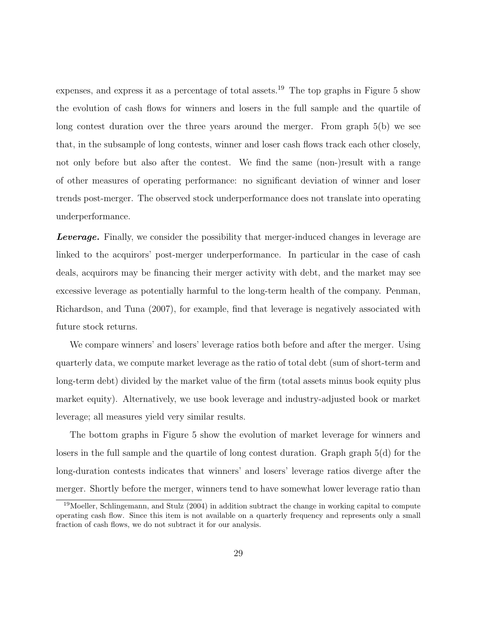expenses, and express it as a percentage of total assets.<sup>19</sup> The top graphs in Figure 5 show the evolution of cash flows for winners and losers in the full sample and the quartile of long contest duration over the three years around the merger. From graph 5(b) we see that, in the subsample of long contests, winner and loser cash flows track each other closely, not only before but also after the contest. We find the same (non-)result with a range of other measures of operating performance: no significant deviation of winner and loser trends post-merger. The observed stock underperformance does not translate into operating underperformance.

**Leverage.** Finally, we consider the possibility that merger-induced changes in leverage are linked to the acquirors' post-merger underperformance. In particular in the case of cash deals, acquirors may be financing their merger activity with debt, and the market may see excessive leverage as potentially harmful to the long-term health of the company. Penman, Richardson, and Tuna (2007), for example, find that leverage is negatively associated with future stock returns.

We compare winners' and losers' leverage ratios both before and after the merger. Using quarterly data, we compute market leverage as the ratio of total debt (sum of short-term and long-term debt) divided by the market value of the firm (total assets minus book equity plus market equity). Alternatively, we use book leverage and industry-adjusted book or market leverage; all measures yield very similar results.

The bottom graphs in Figure 5 show the evolution of market leverage for winners and losers in the full sample and the quartile of long contest duration. Graph graph 5(d) for the long-duration contests indicates that winners' and losers' leverage ratios diverge after the merger. Shortly before the merger, winners tend to have somewhat lower leverage ratio than

<sup>&</sup>lt;sup>19</sup>Moeller, Schlingemann, and Stulz (2004) in addition subtract the change in working capital to compute operating cash flow. Since this item is not available on a quarterly frequency and represents only a small fraction of cash flows, we do not subtract it for our analysis.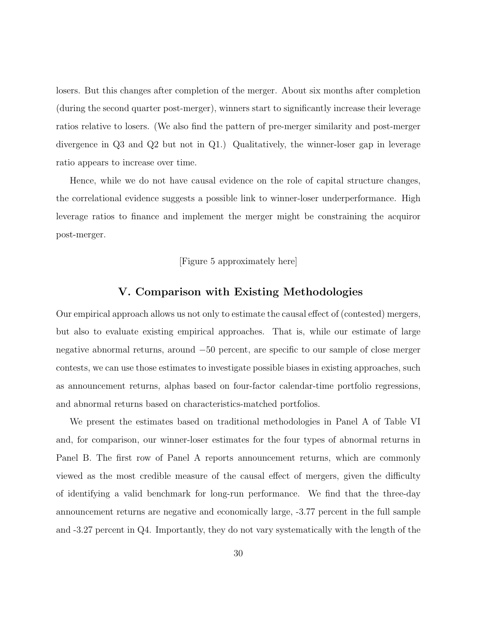losers. But this changes after completion of the merger. About six months after completion (during the second quarter post-merger), winners start to significantly increase their leverage ratios relative to losers. (We also find the pattern of pre-merger similarity and post-merger divergence in Q3 and Q2 but not in Q1.) Qualitatively, the winner-loser gap in leverage ratio appears to increase over time.

Hence, while we do not have causal evidence on the role of capital structure changes, the correlational evidence suggests a possible link to winner-loser underperformance. High leverage ratios to finance and implement the merger might be constraining the acquiror post-merger.

### [Figure 5 approximately here]

### V. Comparison with Existing Methodologies

Our empirical approach allows us not only to estimate the causal effect of (contested) mergers, but also to evaluate existing empirical approaches. That is, while our estimate of large negative abnormal returns, around −50 percent, are specific to our sample of close merger contests, we can use those estimates to investigate possible biases in existing approaches, such as announcement returns, alphas based on four-factor calendar-time portfolio regressions, and abnormal returns based on characteristics-matched portfolios.

We present the estimates based on traditional methodologies in Panel A of Table VI and, for comparison, our winner-loser estimates for the four types of abnormal returns in Panel B. The first row of Panel A reports announcement returns, which are commonly viewed as the most credible measure of the causal effect of mergers, given the difficulty of identifying a valid benchmark for long-run performance. We find that the three-day announcement returns are negative and economically large, -3.77 percent in the full sample and -3.27 percent in Q4. Importantly, they do not vary systematically with the length of the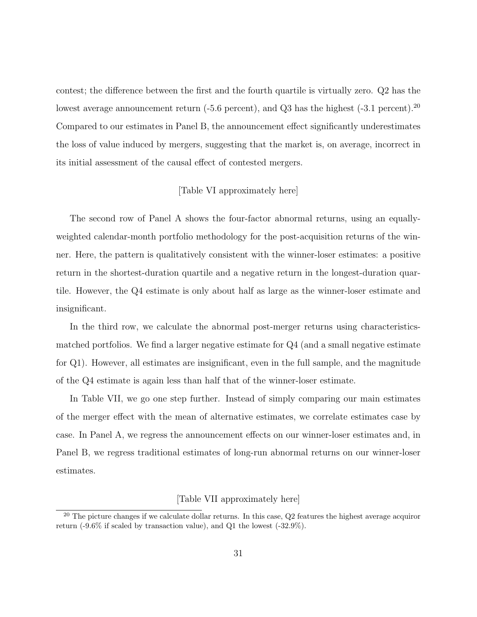contest; the difference between the first and the fourth quartile is virtually zero. Q2 has the lowest average announcement return (-5.6 percent), and Q3 has the highest (-3.1 percent).<sup>20</sup> Compared to our estimates in Panel B, the announcement effect significantly underestimates the loss of value induced by mergers, suggesting that the market is, on average, incorrect in its initial assessment of the causal effect of contested mergers.

### [Table VI approximately here]

The second row of Panel A shows the four-factor abnormal returns, using an equallyweighted calendar-month portfolio methodology for the post-acquisition returns of the winner. Here, the pattern is qualitatively consistent with the winner-loser estimates: a positive return in the shortest-duration quartile and a negative return in the longest-duration quartile. However, the Q4 estimate is only about half as large as the winner-loser estimate and insignificant.

In the third row, we calculate the abnormal post-merger returns using characteristicsmatched portfolios. We find a larger negative estimate for Q4 (and a small negative estimate for Q1). However, all estimates are insignificant, even in the full sample, and the magnitude of the Q4 estimate is again less than half that of the winner-loser estimate.

In Table VII, we go one step further. Instead of simply comparing our main estimates of the merger effect with the mean of alternative estimates, we correlate estimates case by case. In Panel A, we regress the announcement effects on our winner-loser estimates and, in Panel B, we regress traditional estimates of long-run abnormal returns on our winner-loser estimates.

### [Table VII approximately here]

<sup>&</sup>lt;sup>20</sup> The picture changes if we calculate dollar returns. In this case,  $Q2$  features the highest average acquiror return (-9.6% if scaled by transaction value), and Q1 the lowest (-32.9%).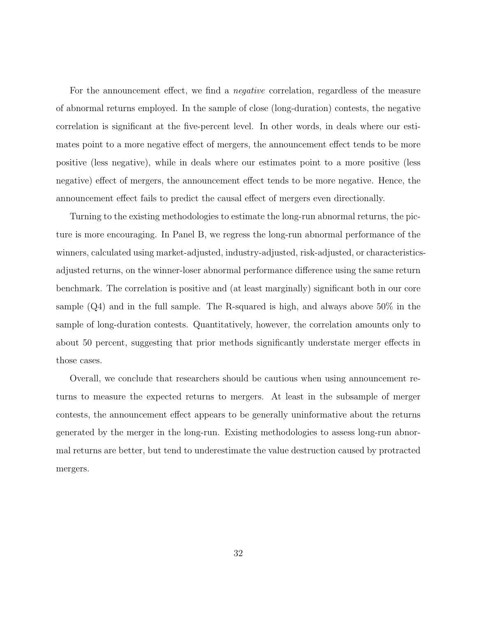For the announcement effect, we find a *negative* correlation, regardless of the measure of abnormal returns employed. In the sample of close (long-duration) contests, the negative correlation is significant at the five-percent level. In other words, in deals where our estimates point to a more negative effect of mergers, the announcement effect tends to be more positive (less negative), while in deals where our estimates point to a more positive (less negative) effect of mergers, the announcement effect tends to be more negative. Hence, the announcement effect fails to predict the causal effect of mergers even directionally.

Turning to the existing methodologies to estimate the long-run abnormal returns, the picture is more encouraging. In Panel B, we regress the long-run abnormal performance of the winners, calculated using market-adjusted, industry-adjusted, risk-adjusted, or characteristicsadjusted returns, on the winner-loser abnormal performance difference using the same return benchmark. The correlation is positive and (at least marginally) significant both in our core sample  $(Q4)$  and in the full sample. The R-squared is high, and always above  $50\%$  in the sample of long-duration contests. Quantitatively, however, the correlation amounts only to about 50 percent, suggesting that prior methods significantly understate merger effects in those cases.

Overall, we conclude that researchers should be cautious when using announcement returns to measure the expected returns to mergers. At least in the subsample of merger contests, the announcement effect appears to be generally uninformative about the returns generated by the merger in the long-run. Existing methodologies to assess long-run abnormal returns are better, but tend to underestimate the value destruction caused by protracted mergers.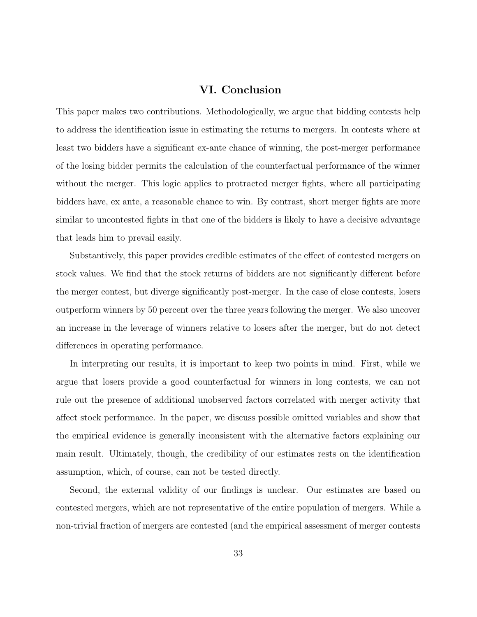### VI. Conclusion

This paper makes two contributions. Methodologically, we argue that bidding contests help to address the identification issue in estimating the returns to mergers. In contests where at least two bidders have a significant ex-ante chance of winning, the post-merger performance of the losing bidder permits the calculation of the counterfactual performance of the winner without the merger. This logic applies to protracted merger fights, where all participating bidders have, ex ante, a reasonable chance to win. By contrast, short merger fights are more similar to uncontested fights in that one of the bidders is likely to have a decisive advantage that leads him to prevail easily.

Substantively, this paper provides credible estimates of the effect of contested mergers on stock values. We find that the stock returns of bidders are not significantly different before the merger contest, but diverge significantly post-merger. In the case of close contests, losers outperform winners by 50 percent over the three years following the merger. We also uncover an increase in the leverage of winners relative to losers after the merger, but do not detect differences in operating performance.

In interpreting our results, it is important to keep two points in mind. First, while we argue that losers provide a good counterfactual for winners in long contests, we can not rule out the presence of additional unobserved factors correlated with merger activity that affect stock performance. In the paper, we discuss possible omitted variables and show that the empirical evidence is generally inconsistent with the alternative factors explaining our main result. Ultimately, though, the credibility of our estimates rests on the identification assumption, which, of course, can not be tested directly.

Second, the external validity of our findings is unclear. Our estimates are based on contested mergers, which are not representative of the entire population of mergers. While a non-trivial fraction of mergers are contested (and the empirical assessment of merger contests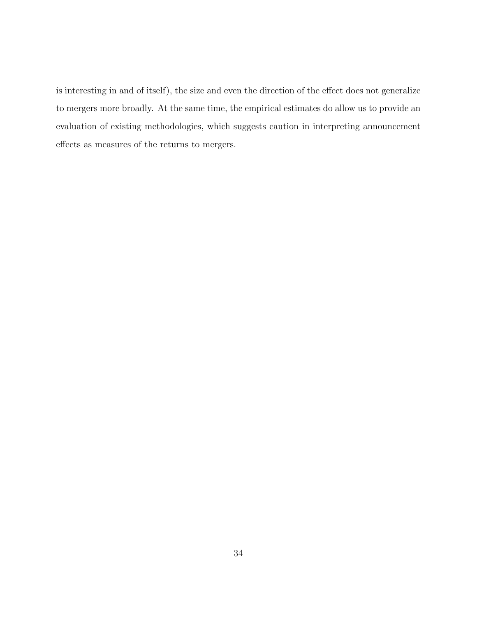is interesting in and of itself), the size and even the direction of the effect does not generalize to mergers more broadly. At the same time, the empirical estimates do allow us to provide an evaluation of existing methodologies, which suggests caution in interpreting announcement effects as measures of the returns to mergers.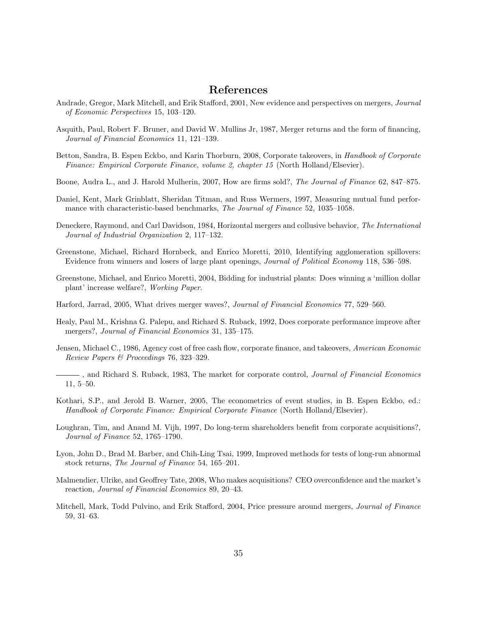### References

- Andrade, Gregor, Mark Mitchell, and Erik Stafford, 2001, New evidence and perspectives on mergers, Journal of Economic Perspectives 15, 103–120.
- Asquith, Paul, Robert F. Bruner, and David W. Mullins Jr, 1987, Merger returns and the form of financing, Journal of Financial Economics 11, 121–139.
- Betton, Sandra, B. Espen Eckbo, and Karin Thorburn, 2008, Corporate takeovers, in Handbook of Corporate Finance: Empirical Corporate Finance, volume 2, chapter 15 (North Holland/Elsevier).
- Boone, Audra L., and J. Harold Mulherin, 2007, How are firms sold?, The Journal of Finance 62, 847–875.
- Daniel, Kent, Mark Grinblatt, Sheridan Titman, and Russ Wermers, 1997, Measuring mutual fund performance with characteristic-based benchmarks, The Journal of Finance 52, 1035–1058.
- Deneckere, Raymond, and Carl Davidson, 1984, Horizontal mergers and collusive behavior, The International Journal of Industrial Organization 2, 117–132.
- Greenstone, Michael, Richard Hornbeck, and Enrico Moretti, 2010, Identifying agglomeration spillovers: Evidence from winners and losers of large plant openings, Journal of Political Economy 118, 536–598.
- Greenstone, Michael, and Enrico Moretti, 2004, Bidding for industrial plants: Does winning a 'million dollar plant' increase welfare?, Working Paper.
- Harford, Jarrad, 2005, What drives merger waves?, Journal of Financial Economics 77, 529–560.
- Healy, Paul M., Krishna G. Palepu, and Richard S. Ruback, 1992, Does corporate performance improve after mergers?, Journal of Financial Economics 31, 135–175.
- Jensen, Michael C., 1986, Agency cost of free cash flow, corporate finance, and takeovers, American Economic Review Papers & Proceedings 76, 323–329.
- -, and Richard S. Ruback, 1983, The market for corporate control, *Journal of Financial Economics* 11, 5–50.
- Kothari, S.P., and Jerold B. Warner, 2005, The econometrics of event studies, in B. Espen Eckbo, ed.: Handbook of Corporate Finance: Empirical Corporate Finance (North Holland/Elsevier).
- Loughran, Tim, and Anand M. Vijh, 1997, Do long-term shareholders benefit from corporate acquisitions?, Journal of Finance 52, 1765–1790.
- Lyon, John D., Brad M. Barber, and Chih-Ling Tsai, 1999, Improved methods for tests of long-run abnormal stock returns, The Journal of Finance 54, 165–201.
- Malmendier, Ulrike, and Geoffrey Tate, 2008, Who makes acquisitions? CEO overconfidence and the market's reaction, Journal of Financial Economics 89, 20–43.
- Mitchell, Mark, Todd Pulvino, and Erik Stafford, 2004, Price pressure around mergers, Journal of Finance 59, 31–63.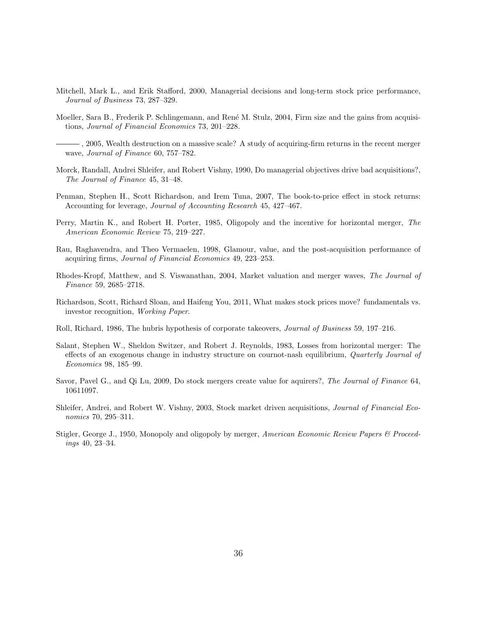- Mitchell, Mark L., and Erik Stafford, 2000, Managerial decisions and long-term stock price performance, Journal of Business 73, 287–329.
- Moeller, Sara B., Frederik P. Schlingemann, and René M. Stulz, 2004, Firm size and the gains from acquisitions, Journal of Financial Economics 73, 201–228.
- , 2005, Wealth destruction on a massive scale? A study of acquiring-firm returns in the recent merger wave, Journal of Finance 60, 757–782.
- Morck, Randall, Andrei Shleifer, and Robert Vishny, 1990, Do managerial objectives drive bad acquisitions?, The Journal of Finance 45, 31–48.
- Penman, Stephen H., Scott Richardson, and Irem Tuna, 2007, The book-to-price effect in stock returns: Accounting for leverage, Journal of Accounting Research 45, 427–467.
- Perry, Martin K., and Robert H. Porter, 1985, Oligopoly and the incentive for horizontal merger, The American Economic Review 75, 219–227.
- Rau, Raghavendra, and Theo Vermaelen, 1998, Glamour, value, and the post-acquisition performance of acquiring firms, Journal of Financial Economics 49, 223–253.
- Rhodes-Kropf, Matthew, and S. Viswanathan, 2004, Market valuation and merger waves, The Journal of Finance 59, 2685–2718.
- Richardson, Scott, Richard Sloan, and Haifeng You, 2011, What makes stock prices move? fundamentals vs. investor recognition, Working Paper.
- Roll, Richard, 1986, The hubris hypothesis of corporate takeovers, Journal of Business 59, 197–216.
- Salant, Stephen W., Sheldon Switzer, and Robert J. Reynolds, 1983, Losses from horizontal merger: The effects of an exogenous change in industry structure on cournot-nash equilibrium, Quarterly Journal of Economics 98, 185–99.
- Savor, Pavel G., and Qi Lu, 2009, Do stock mergers create value for aquirers?, The Journal of Finance 64, 10611097.
- Shleifer, Andrei, and Robert W. Vishny, 2003, Stock market driven acquisitions, Journal of Financial Economics 70, 295–311.
- Stigler, George J., 1950, Monopoly and oligopoly by merger, American Economic Review Papers & Proceedings 40, 23–34.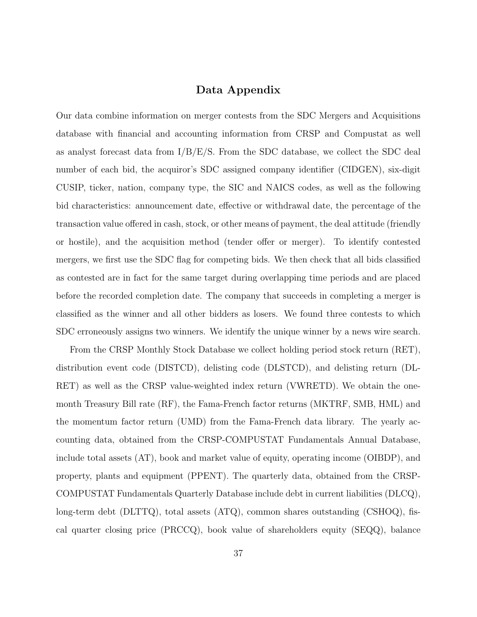### Data Appendix

Our data combine information on merger contests from the SDC Mergers and Acquisitions database with financial and accounting information from CRSP and Compustat as well as analyst forecast data from  $I/B/E/S$ . From the SDC database, we collect the SDC deal number of each bid, the acquiror's SDC assigned company identifier (CIDGEN), six-digit CUSIP, ticker, nation, company type, the SIC and NAICS codes, as well as the following bid characteristics: announcement date, effective or withdrawal date, the percentage of the transaction value offered in cash, stock, or other means of payment, the deal attitude (friendly or hostile), and the acquisition method (tender offer or merger). To identify contested mergers, we first use the SDC flag for competing bids. We then check that all bids classified as contested are in fact for the same target during overlapping time periods and are placed before the recorded completion date. The company that succeeds in completing a merger is classified as the winner and all other bidders as losers. We found three contests to which SDC erroneously assigns two winners. We identify the unique winner by a news wire search.

From the CRSP Monthly Stock Database we collect holding period stock return (RET), distribution event code (DISTCD), delisting code (DLSTCD), and delisting return (DL-RET) as well as the CRSP value-weighted index return (VWRETD). We obtain the onemonth Treasury Bill rate (RF), the Fama-French factor returns (MKTRF, SMB, HML) and the momentum factor return (UMD) from the Fama-French data library. The yearly accounting data, obtained from the CRSP-COMPUSTAT Fundamentals Annual Database, include total assets (AT), book and market value of equity, operating income (OIBDP), and property, plants and equipment (PPENT). The quarterly data, obtained from the CRSP-COMPUSTAT Fundamentals Quarterly Database include debt in current liabilities (DLCQ), long-term debt (DLTTQ), total assets (ATQ), common shares outstanding (CSHOQ), fiscal quarter closing price (PRCCQ), book value of shareholders equity (SEQQ), balance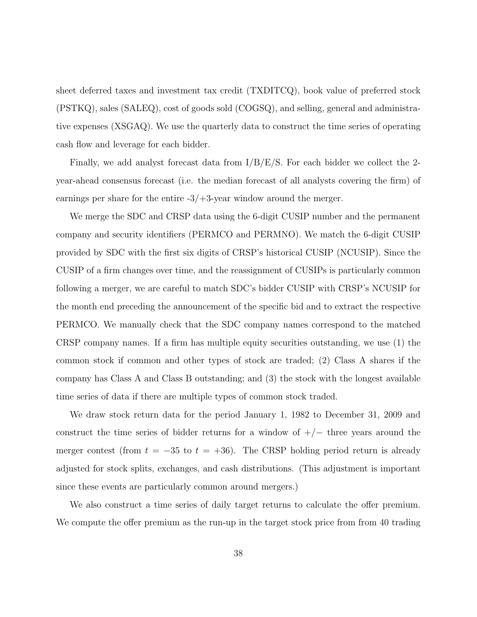sheet deferred taxes and investment tax credit (TXDITCQ), book value of preferred stock (PSTKQ), sales (SALEQ), cost of goods sold (COGSQ), and selling, general and administrative expenses (XSGAQ). We use the quarterly data to construct the time series of operating cash flow and leverage for each bidder.

Finally, we add analyst forecast data from I/B/E/S. For each bidder we collect the 2 year-ahead consensus forecast (i.e. the median forecast of all analysts covering the firm) of earnings per share for the entire  $-3/+3$ -year window around the merger.

We merge the SDC and CRSP data using the 6-digit CUSIP number and the permanent company and security identifiers (PERMCO and PERMNO). We match the 6-digit CUSIP provided by SDC with the first six digits of CRSP's historical CUSIP (NCUSIP). Since the CUSIP of a firm changes over time, and the reassignment of CUSIPs is particularly common following a merger, we are careful to match SDC's bidder CUSIP with CRSP's NCUSIP for the month end preceding the announcement of the specific bid and to extract the respective PERMCO. We manually check that the SDC company names correspond to the matched CRSP company names. If a firm has multiple equity securities outstanding, we use (1) the common stock if common and other types of stock are traded; (2) Class A shares if the company has Class A and Class B outstanding; and (3) the stock with the longest available time series of data if there are multiple types of common stock traded.

We draw stock return data for the period January 1, 1982 to December 31, 2009 and construct the time series of bidder returns for a window of  $+/-$  three years around the merger contest (from  $t = -35$  to  $t = +36$ ). The CRSP holding period return is already adjusted for stock splits, exchanges, and cash distributions. (This adjustment is important since these events are particularly common around mergers.)

We also construct a time series of daily target returns to calculate the offer premium. We compute the offer premium as the run-up in the target stock price from from 40 trading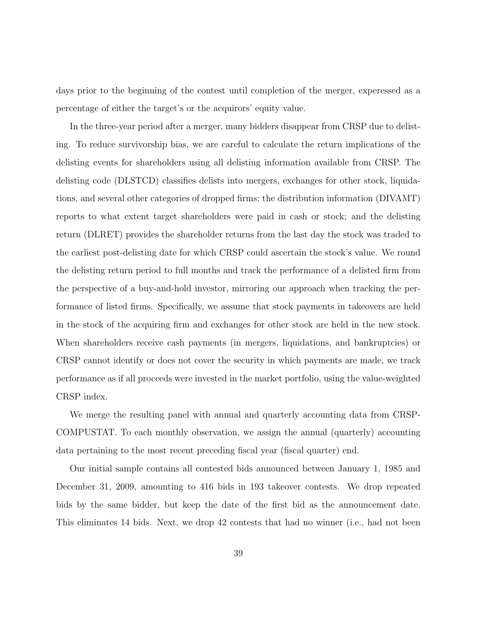days prior to the beginning of the contest until completion of the merger, experessed as a percentage of either the target's or the acquirors' equity value.

In the three-year period after a merger, many bidders disappear from CRSP due to delisting. To reduce survivorship bias, we are careful to calculate the return implications of the delisting events for shareholders using all delisting information available from CRSP. The delisting code (DLSTCD) classifies delists into mergers, exchanges for other stock, liquidations, and several other categories of dropped firms; the distribution information (DIVAMT) reports to what extent target shareholders were paid in cash or stock; and the delisting return (DLRET) provides the shareholder returns from the last day the stock was traded to the earliest post-delisting date for which CRSP could ascertain the stock's value. We round the delisting return period to full months and track the performance of a delisted firm from the perspective of a buy-and-hold investor, mirroring our approach when tracking the performance of listed firms. Specifically, we assume that stock payments in takeovers are held in the stock of the acquiring firm and exchanges for other stock are held in the new stock. When shareholders receive cash payments (in mergers, liquidations, and bankruptcies) or CRSP cannot identify or does not cover the security in which payments are made, we track performance as if all proceeds were invested in the market portfolio, using the value-weighted CRSP index.

We merge the resulting panel with annual and quarterly accounting data from CRSP-COMPUSTAT. To each monthly observation, we assign the annual (quarterly) accounting data pertaining to the most recent preceding fiscal year (fiscal quarter) end.

Our initial sample contains all contested bids announced between January 1, 1985 and December 31, 2009, amounting to 416 bids in 193 takeover contests. We drop repeated bids by the same bidder, but keep the date of the first bid as the announcement date. This eliminates 14 bids. Next, we drop 42 contests that had no winner (i.e., had not been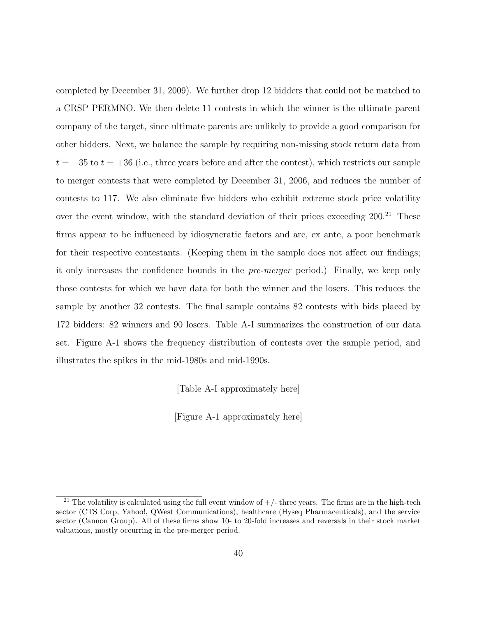completed by December 31, 2009). We further drop 12 bidders that could not be matched to a CRSP PERMNO. We then delete 11 contests in which the winner is the ultimate parent company of the target, since ultimate parents are unlikely to provide a good comparison for other bidders. Next, we balance the sample by requiring non-missing stock return data from  $t = -35$  to  $t = +36$  (i.e., three years before and after the contest), which restricts our sample to merger contests that were completed by December 31, 2006, and reduces the number of contests to 117. We also eliminate five bidders who exhibit extreme stock price volatility over the event window, with the standard deviation of their prices exceeding  $200<sup>21</sup>$  These firms appear to be influenced by idiosyncratic factors and are, ex ante, a poor benchmark for their respective contestants. (Keeping them in the sample does not affect our findings; it only increases the confidence bounds in the pre-merger period.) Finally, we keep only those contests for which we have data for both the winner and the losers. This reduces the sample by another 32 contests. The final sample contains 82 contests with bids placed by 172 bidders: 82 winners and 90 losers. Table A-I summarizes the construction of our data set. Figure A-1 shows the frequency distribution of contests over the sample period, and illustrates the spikes in the mid-1980s and mid-1990s.

[Table A-I approximately here]

[Figure A-1 approximately here]

<sup>&</sup>lt;sup>21</sup> The volatility is calculated using the full event window of  $+/-$  three years. The firms are in the high-tech sector (CTS Corp, Yahoo!, QWest Communications), healthcare (Hyseq Pharmaceuticals), and the service sector (Cannon Group). All of these firms show 10- to 20-fold increases and reversals in their stock market valuations, mostly occurring in the pre-merger period.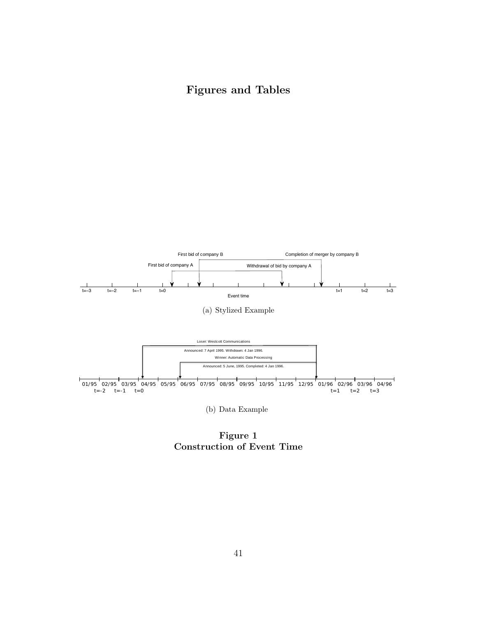Figures and Tables



Figure 1 Construction of Event Time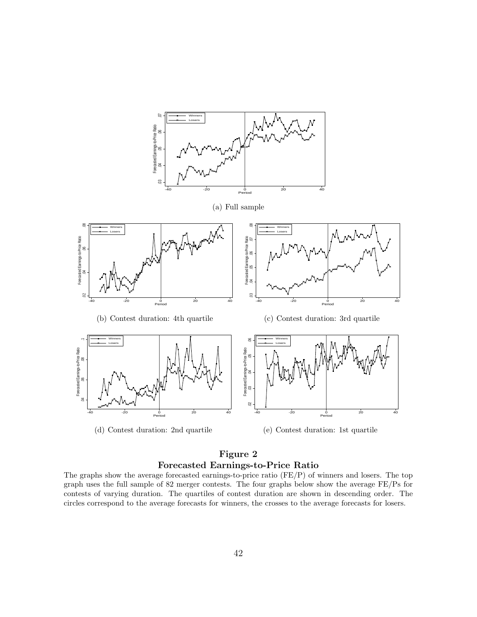

(d) Contest duration: 2nd quartile

(e) Contest duration: 1st quartile

### Figure 2 Forecasted Earnings-to-Price Ratio

The graphs show the average forecasted earnings-to-price ratio (FE/P) of winners and losers. The top graph uses the full sample of 82 merger contests. The four graphs below show the average FE/Ps for contests of varying duration. The quartiles of contest duration are shown in descending order. The circles correspond to the average forecasts for winners, the crosses to the average forecasts for losers.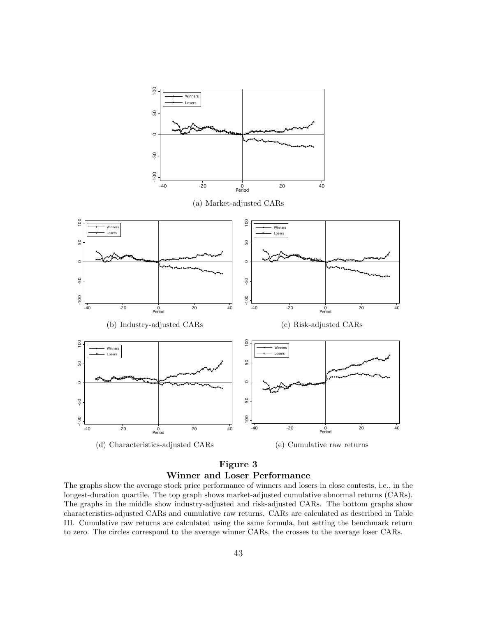

### Figure 3 Winner and Loser Performance

The graphs show the average stock price performance of winners and losers in close contests, i.e., in the longest-duration quartile. The top graph shows market-adjusted cumulative abnormal returns (CARs). The graphs in the middle show industry-adjusted and risk-adjusted CARs. The bottom graphs show characteristics-adjusted CARs and cumulative raw returns. CARs are calculated as described in Table III. Cumulative raw returns are calculated using the same formula, but setting the benchmark return to zero. The circles correspond to the average winner CARs, the crosses to the average loser CARs.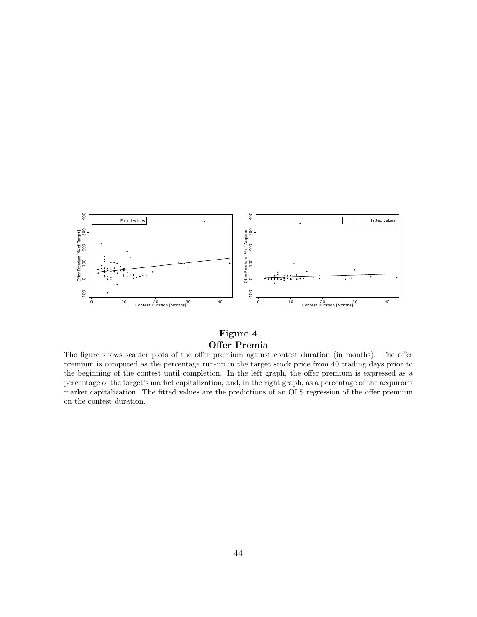

### Figure 4 Offer Premia

The figure shows scatter plots of the offer premium against contest duration (in months). The offer premium is computed as the percentage run-up in the target stock price from 40 trading days prior to the beginning of the contest until completion. In the left graph, the offer premium is expressed as a percentage of the target's market capitalization, and, in the right graph, as a percentage of the acquiror's market capitalization. The fitted values are the predictions of an OLS regression of the offer premium on the contest duration.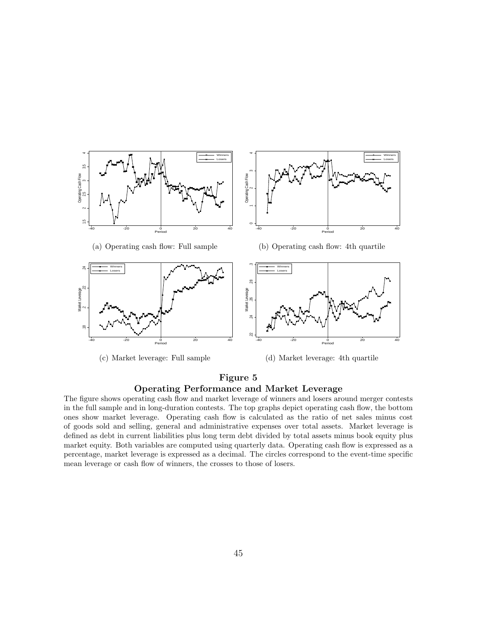

### Figure 5 Operating Performance and Market Leverage

The figure shows operating cash flow and market leverage of winners and losers around merger contests in the full sample and in long-duration contests. The top graphs depict operating cash flow, the bottom ones show market leverage. Operating cash flow is calculated as the ratio of net sales minus cost of goods sold and selling, general and administrative expenses over total assets. Market leverage is defined as debt in current liabilities plus long term debt divided by total assets minus book equity plus market equity. Both variables are computed using quarterly data. Operating cash flow is expressed as a percentage, market leverage is expressed as a decimal. The circles correspond to the event-time specific mean leverage or cash flow of winners, the crosses to those of losers.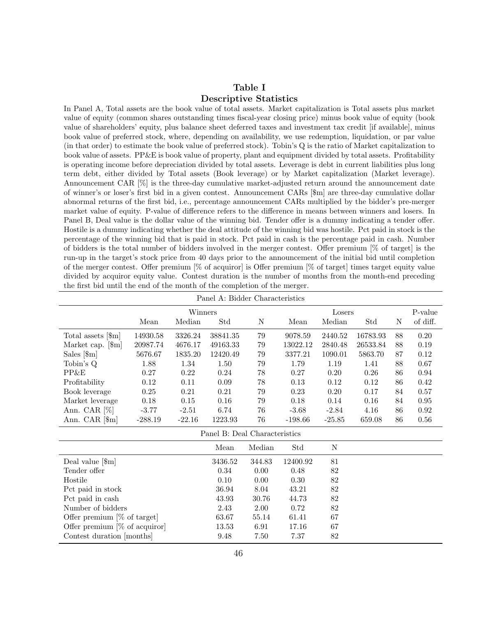### Table I Descriptive Statistics

In Panel A, Total assets are the book value of total assets. Market capitalization is Total assets plus market value of equity (common shares outstanding times fiscal-year closing price) minus book value of equity (book value of shareholders' equity, plus balance sheet deferred taxes and investment tax credit [if available], minus book value of preferred stock, where, depending on availability, we use redemption, liquidation, or par value (in that order) to estimate the book value of preferred stock). Tobin's Q is the ratio of Market capitalization to book value of assets. PP&E is book value of property, plant and equipment divided by total assets. Profitability is operating income before depreciation divided by total assets. Leverage is debt in current liabilities plus long term debt, either divided by Total assets (Book leverage) or by Market capitalization (Market leverage). Announcement CAR [%] is the three-day cumulative market-adjusted return around the announcement date of winner's or loser's first bid in a given contest. Announcement CARs [\$m] are three-day cumulative dollar abnormal returns of the first bid, i.e., percentage announcement CARs multiplied by the bidder's pre-merger market value of equity. P-value of difference refers to the difference in means between winners and losers. In Panel B, Deal value is the dollar value of the winning bid. Tender offer is a dummy indicating a tender offer. Hostile is a dummy indicating whether the deal attitude of the winning bid was hostile. Pct paid in stock is the percentage of the winning bid that is paid in stock. Pct paid in cash is the percentage paid in cash. Number of bidders is the total number of bidders involved in the merger contest. Offer premium [% of target] is the run-up in the target's stock price from 40 days prior to the announcement of the initial bid until completion of the merger contest. Offer premium [% of acquiror] is Offer premium [% of target] times target equity value divided by acquiror equity value. Contest duration is the number of months from the month-end preceding the first bid until the end of the month of the completion of the merger.

|                                 |           |          | Panel A: Bidder Characteristics |        |           |             |          |    |            |
|---------------------------------|-----------|----------|---------------------------------|--------|-----------|-------------|----------|----|------------|
|                                 |           | Winners  |                                 |        |           | Losers      |          |    | P-value    |
|                                 | Mean      | Median   | Std                             | N      | Mean      | Median      | Std      | N  | of diff.   |
| Total assets [\$m]              | 14930.58  | 3326.24  | 38841.35                        | 79     | 9078.59   | 2440.52     | 16783.93 | 88 | 0.20       |
| Market cap. [\$m]               | 20987.74  | 4676.17  | 49163.33                        | $79\,$ | 13022.12  | 2840.48     | 26533.84 | 88 | $0.19\,$   |
| Sales $[\mathbb{S}_m]$          | 5676.67   | 1835.20  | 12420.49                        | 79     | 3377.21   | 1090.01     | 5863.70  | 87 | 0.12       |
| Tobin's Q                       | 1.88      | 1.34     | 1.50                            | 79     | 1.79      | 1.19        | 1.41     | 88 | 0.67       |
| PP&E                            | 0.27      | $0.22\,$ | 0.24                            | $78\,$ | 0.27      | 0.20        | 0.26     | 86 | $\rm 0.94$ |
| Profitability                   | 0.12      | 0.11     | 0.09                            | 78     | 0.13      | 0.12        | 0.12     | 86 | 0.42       |
| Book leverage                   | 0.25      | 0.21     | 0.21                            | 79     | 0.23      | 0.20        | 0.17     | 84 | 0.57       |
| Market leverage                 | $0.18\,$  | 0.15     | 0.16                            | 79     | 0.18      | 0.14        | 0.16     | 84 | $0.95\,$   |
| Ann. CAR $[\%]$                 | $-3.77$   | $-2.51$  | 6.74                            | 76     | $-3.68$   | $-2.84$     | 4.16     | 86 | 0.92       |
| Ann. CAR <sup>[\$m]</sup>       | $-288.19$ | $-22.16$ | 1223.93                         | 76     | $-198.66$ | $-25.85$    | 659.08   | 86 | 0.56       |
|                                 |           |          | Panel B: Deal Characteristics   |        |           |             |          |    |            |
|                                 |           |          | Mean                            | Median | Std       | $\mathbf N$ |          |    |            |
| Deal value $[\mathcal{S}_m]$    |           |          | 3436.52                         | 344.83 | 12400.92  | 81          |          |    |            |
| Tender offer                    |           |          | 0.34                            | 0.00   | 0.48      | 82          |          |    |            |
| Hostile                         |           |          | 0.10                            | 0.00   | 0.30      | $82\,$      |          |    |            |
| Pct paid in stock               |           |          | 36.94                           | 8.04   | 43.21     | $82\,$      |          |    |            |
| Pct paid in cash                |           |          | 43.93                           | 30.76  | 44.73     | $82\,$      |          |    |            |
| Number of bidders               |           |          | 2.43                            | 2.00   | 0.72      | $82\,$      |          |    |            |
| Offer premium $[\%$ of target   |           |          | 63.67                           | 55.14  | 61.41     | 67          |          |    |            |
| Offer premium $[\%$ of acquiror |           |          | 13.53                           | 6.91   | 17.16     | 67          |          |    |            |
| Contest duration [months]       |           |          | 9.48                            | 7.50   | 7.37      | $82\,$      |          |    |            |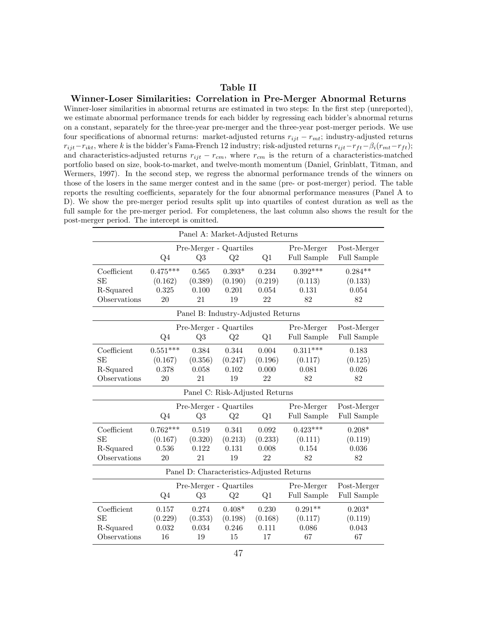### Table II

### Winner-Loser Similarities: Correlation in Pre-Merger Abnormal Returns

Winner-loser similarities in abnormal returns are estimated in two steps: In the first step (unreported), we estimate abnormal performance trends for each bidder by regressing each bidder's abnormal returns on a constant, separately for the three-year pre-merger and the three-year post-merger periods. We use four specifications of abnormal returns: market-adjusted returns  $r_{ijt} - r_{mt}$ ; industry-adjusted returns  $r_{ijt}-r_{ikt}$ , where k is the bidder's Fama-French 12 industry; risk-adjusted returns  $r_{ijt}-r_{ft}-\beta_i(r_{mt}-r_{ft})$ ; and characteristics-adjusted returns  $r_{ijt} - r_{cm}$ , where  $r_{cm}$  is the return of a characteristics-matched portfolio based on size, book-to-market, and twelve-month momentum (Daniel, Grinblatt, Titman, and Wermers, 1997). In the second step, we regress the abnormal performance trends of the winners on those of the losers in the same merger contest and in the same (pre- or post-merger) period. The table reports the resulting coefficients, separately for the four abnormal performance measures (Panel A to D). We show the pre-merger period results split up into quartiles of contest duration as well as the full sample for the pre-merger period. For completeness, the last column also shows the result for the post-merger period. The intercept is omitted.

|              |            | Panel A: Market-Adjusted Returns          |          |         |                    |             |
|--------------|------------|-------------------------------------------|----------|---------|--------------------|-------------|
|              |            | Pre-Merger - Quartiles                    |          |         | Pre-Merger         | Post-Merger |
|              | Q4         | Q3                                        | Q2       | Q1      | Full Sample        | Full Sample |
| Coefficient  | $0.475***$ | 0.565                                     | $0.393*$ | 0.234   | $0.392***$         | $0.284**$   |
| <b>SE</b>    | (0.162)    | (0.389)                                   | (0.190)  | (0.219) | (0.113)            | (0.133)     |
| R-Squared    | 0.325      | 0.100                                     | 0.201    | 0.054   | 0.131              | 0.054       |
| Observations | 20         | 21                                        | 19       | 22      | 82                 | 82          |
|              |            | Panel B: Industry-Adjusted Returns        |          |         |                    |             |
|              |            | Pre-Merger - Quartiles                    |          |         | Pre-Merger         | Post-Merger |
|              | Q4         | Q3                                        | Q2       | Q1      | Full Sample        | Full Sample |
| Coefficient  | $0.551***$ | 0.384                                     | 0.344    | 0.004   | $0.311***$         | 0.183       |
| <b>SE</b>    | (0.167)    | (0.356)                                   | (0.247)  | (0.196) | (0.117)            | (0.125)     |
| R-Squared    | 0.378      | 0.058                                     | 0.102    | 0.000   | 0.081              | 0.026       |
| Observations | 20         | 21                                        | 19       | 22      | 82                 | 82          |
|              |            | Panel C: Risk-Adjusted Returns            |          |         |                    |             |
|              |            | Pre-Merger - Quartiles                    |          |         | Pre-Merger         | Post-Merger |
|              | $Q_4$      | Q3                                        | Q2       | Q1      | Full Sample        | Full Sample |
| Coefficient  | $0.762***$ | 0.519                                     | 0.341    | 0.092   | $0.423***$         | $0.208*$    |
| SE           | (0.167)    | (0.320)                                   | (0.213)  | (0.233) | (0.111)            | (0.119)     |
| R-Squared    | 0.536      | 0.122                                     | 0.131    | 0.008   | 0.154              | 0.036       |
| Observations | 20         | 21                                        | 19       | 22      | 82                 | 82          |
|              |            | Panel D: Characteristics-Adjusted Returns |          |         |                    |             |
|              |            | Pre-Merger - Quartiles                    |          |         | Pre-Merger         | Post-Merger |
|              | $Q_4$      | Q3                                        | Q2       | Q1      | <b>Full Sample</b> | Full Sample |
| Coefficient  | 0.157      | 0.274                                     | $0.408*$ | 0.230   | $0.291**$          | $0.203*$    |
| <b>SE</b>    | (0.229)    | (0.353)                                   | (0.198)  | (0.168) | (0.117)            | (0.119)     |
| R-Squared    | 0.032      | 0.034                                     | 0.246    | 0.111   | 0.086              | 0.043       |
| Observations | 16         | 19                                        | 15       | 17      | 67                 | 67          |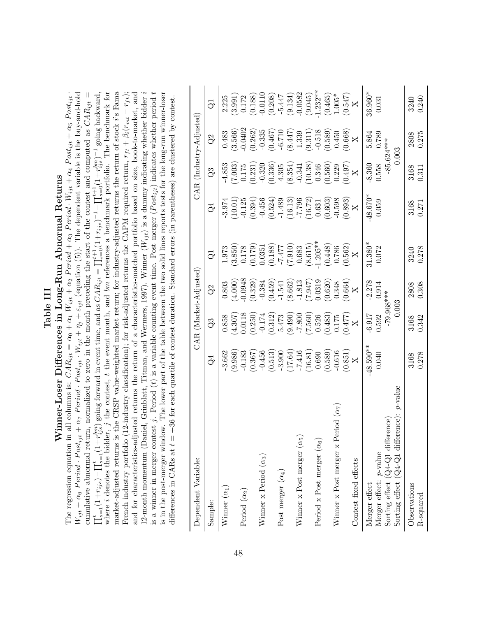## Table III<br>Winner-Loser Differences in Long-Run Abnormal Returns Winner-Loser Differences in Long-Run Abnormal Returns

12-month momentum (Daniel, Grinblatt, Titman, and Wermers, 1997). Winner  $(W_{ijt})$  is a dummy indicating whether bidder i is a winner in merger contest j. Period (*t*) is a variable counting event time. Post merger (*Post<sub>ijt</sub>*) indicates whether period t is in the post-merger window. The lower part of the table between the two solid lines reports tests for the long-run winner-loser where  $i$  denotes the bidder,  $j$  the contest,  $t$  the event month, and bm references a benchmark portfolio. The benchmark for market-adjusted returns is the CRSP value-weighted market return; for industry-adjusted returns the return of stock i's Fama and for characteristics-adjusted returns the return of a characteristics-matched portfolio based on size, book-to-market, and  $W_{ijt} + \alpha_6$  Period · Post<sub>ijt</sub> +  $\alpha_7$  Period · Post<sub>ijt</sub> ·  $W_{ijt} + \eta_j + \varepsilon_{ijt}$  (equation (5)). The dependent variable is the buy-and-hold cumulative abnormal return, normalized to zero in the month preceding the start of the contest and computed as  $CAR_{ijt} =$  $\prod_{s=1}^t(1+r_{ijs})-\prod_{s=1}^t(1+r_{ijs}^{bm})$  going forward in event time, and as  $CAR_{ijt}=\prod_{s=0}^{t+1}(1+r_{ijs})^{-1}-\prod_{s=0}^{t+1}(1+r_{ijs}^{bm})^{-1}$  going backward, market-adjusted returns is the CRSP value-weighted market return; for industry-adjusted returns the return of stock i's Fama French industry portfolio (12-industry classification); for risk-adjusted returns the CAPM required return,  $r_{ft} + \beta_i(r_{mt} - r_{ft})$ ; The regression equation in all columns is:  $CAR_{ijt} = \alpha_0 + \alpha_1 W_{ijt} + \alpha_2$  Period +  $\alpha_3$  Period ·  $W_{ijt} + \alpha_4$  Post<sub>ijt</sub> +  $\alpha_5$  Post<sub>ijt</sub> ·  $W_{ijt}$  +  $\alpha_7$  Post<sub>ijt</sub> ·  $\alpha_8$  P ost<sub>ijt</sub> ·  $\alpha_9$  $W_{ijt} + \alpha_6$  Period · Post<sub>ijt</sub> +  $\alpha_7$  Period · Post<sub>ijt</sub> ·  $W_{ijt} + \eta_j + \varepsilon_{ijt}$  (equation (5)). The dependent variable is the buy-and-hold is the buy-and-hold cumulative abnormal return, normalized to zero in the month preceding the start of the contest and computed as  $CAR_{ijt} =$  $\prod_{s=1}^t(1+r_{ijs})-\prod_{s=1}^t(1+r_{ijs}^{bm})$  going forward in event time, and as  $CAR_{ijt} = \prod_{s=0}^{t+1}(1+r_{ijs})^{-1}-\prod_{s=0}^{t+1}(1+r_{ijs}^{bm})^{-1}$  going backward, where i denotes the bidder, j the contest, t the event month, and bm references a benchmark portfolio. The benchmark for<br>manital second nature is the COD walls were monoted as well as a second manital second nature at the French industry portfolio (12-industry classification); for risk-adjusted returns the CAPM required return,  $r_{ft} + \beta_i(r_{mt} - r_{ft});$ and for characteristics-adjusted returns the return of a characteristics-matched portfolio based on size, book-to-market, and 12-month momentum (Daniel, Grinblatt, Titman, and Wermers, 1997). Winner (Wijt) is a dummy indicating whether bidder i is a winner in merger contest j. Period  $(t)$  is a variable counting event time. Post merger  $(Post_{ijt})$  indicates whether period t is in the post-merger window. The lower part of the table between the two solid lines reports tests for the long-run winner-loser The regression equation in all columns is:  $CAR_{ijt} = \alpha_0 + \alpha_1 W_{ijt} + \alpha_2 Period + \alpha_3 Period \cdot W_{ijt} + \alpha_4 Post_{ijt} + \alpha_5 Post_{ijt}$ differences in CARs at  $t = +36$  for each quartile of contest duration. Standard errors (in parentheses) are clustered by contest. differences in CARs at t = +36 for each quartile of contest duration. Standard errors (in parentheses) are clustered by contest.

| Dependent Variable:                                  |                                                                      |                                                                                                                   | $CAR$ (Market-Adjusted)                                                          |                                                                             |                                                                                                            |                                                                                                                                                                                             | $CAR$ (Industry-Adjusted)                                  |                                                                                                              |
|------------------------------------------------------|----------------------------------------------------------------------|-------------------------------------------------------------------------------------------------------------------|----------------------------------------------------------------------------------|-----------------------------------------------------------------------------|------------------------------------------------------------------------------------------------------------|---------------------------------------------------------------------------------------------------------------------------------------------------------------------------------------------|------------------------------------------------------------|--------------------------------------------------------------------------------------------------------------|
| Sample:                                              | $\Im$                                                                | $\mathcal{Q}3$                                                                                                    | $\overline{Q}$                                                                   | $\vec{Q}$                                                                   | ₹                                                                                                          | $\Im$                                                                                                                                                                                       | $\overline{Q}$                                             | ටි                                                                                                           |
| Winner $(\alpha_1)$                                  | $-3.662$                                                             | 0.858                                                                                                             | 0.803                                                                            | 1.973                                                                       | 3.974                                                                                                      | 4.853                                                                                                                                                                                       |                                                            |                                                                                                              |
|                                                      | (9.986)                                                              | $(4.307)$<br>0.0118                                                                                               | $(4.000)$<br>0.0948                                                              | $(3.850)$<br>0.178                                                          | (10.01)                                                                                                    | $\begin{array}{l} (7.003)\\ 0.175\\ 0.231)\\ (0.231)\\ (0.336)\\ (0.336)\\ (0.337)\\ (0.338)\\ (0.341)\\ (0.341)\\ (0.340)\\ (0.340)\\ (0.340)\\ (0.340)\\ (0.322)\\ (0.329)\\ \end{array}$ | $\begin{array}{c} 0.483 \\ (3.566) \\ 0.0402 \end{array}$  | $\begin{array}{c} 2.225\\ (3.991)\\ (0.172)\\ (0.188)\\ (0.100)\\ (0.208)\\ (9.134)\\ (9.134)\\ \end{array}$ |
| Period $(\alpha_2)$                                  | $-0.183$                                                             |                                                                                                                   |                                                                                  |                                                                             |                                                                                                            |                                                                                                                                                                                             |                                                            |                                                                                                              |
|                                                      | (0.367)                                                              | (0.250)                                                                                                           | (0.329)                                                                          | (0.179)                                                                     | (0.394)                                                                                                    |                                                                                                                                                                                             | $(0.262)$<br>-0.335                                        |                                                                                                              |
| Winner x Period $(\alpha_3)$                         |                                                                      | $-0.174$                                                                                                          | $-0.384$                                                                         | 0.0351                                                                      | $-0.456$                                                                                                   |                                                                                                                                                                                             |                                                            |                                                                                                              |
|                                                      | $\frac{-0.456}{(0.513)}$<br>$-3.900$                                 | $\begin{array}{c} (0.312) \\ 5.473 \\ (9.490) \\ -7.800 \\ (7.560) \\ 0.526 \\ (0.483) \\ (0.483) \\ \end{array}$ | $(0.459)$<br>-1.541                                                              | $\begin{array}{c} (0.188) \\ 774.7 \\ 774.7 \\ 774.7 \\ \hline \end{array}$ | (0.524)                                                                                                    |                                                                                                                                                                                             | $(0.467)$<br>$-6.710$<br>$(8.447)$<br>$1.339$<br>$1.3311)$ |                                                                                                              |
| Post merger $(\alpha_4)$                             |                                                                      |                                                                                                                   |                                                                                  |                                                                             |                                                                                                            |                                                                                                                                                                                             |                                                            |                                                                                                              |
|                                                      |                                                                      |                                                                                                                   | (8.662)                                                                          |                                                                             |                                                                                                            |                                                                                                                                                                                             |                                                            |                                                                                                              |
| Winner x Post merger $(\alpha_5)$                    | $(17.64)$<br>$(15.71)$                                               |                                                                                                                   |                                                                                  |                                                                             | $\frac{-1.489}{-7.796}$<br>$\frac{-7.796}{-7.796}$<br>$\frac{(16.13)}{(0.631)}$<br>$\frac{-0.631}{-0.598}$ |                                                                                                                                                                                             |                                                            |                                                                                                              |
|                                                      | $\begin{array}{c} (16.81) \\ 0.690 \\ (0.589) \\ -0.616 \end{array}$ |                                                                                                                   | $\begin{array}{c} -1.813 \\ (7.947) \\ 0.0319 \\ (0.620) \\ (0.620) \end{array}$ | $(8.615)$<br>1.205**                                                        |                                                                                                            |                                                                                                                                                                                             |                                                            | (9.045)                                                                                                      |
| Period x Post merger $(\alpha_6)$                    |                                                                      |                                                                                                                   |                                                                                  |                                                                             |                                                                                                            |                                                                                                                                                                                             |                                                            | $1.232**$                                                                                                    |
|                                                      |                                                                      |                                                                                                                   |                                                                                  | $\begin{array}{c} (0.448) \\ 0.786 \end{array}$                             |                                                                                                            |                                                                                                                                                                                             | $\frac{-0.518}{(0.589)}$<br>0.450                          | $(0.465)$<br>1.005*                                                                                          |
| Winner x Post merger x Period $(\alpha_7)$           |                                                                      |                                                                                                                   |                                                                                  |                                                                             |                                                                                                            |                                                                                                                                                                                             |                                                            |                                                                                                              |
|                                                      | $\frac{X}{X}$                                                        | (X127)                                                                                                            | (0.664)                                                                          | (0.562)                                                                     | 0.893)                                                                                                     | (X60.0)                                                                                                                                                                                     | (0.668)                                                    | $(X_{F_1}^{(1)}0)$                                                                                           |
| Contest fixed effects                                |                                                                      |                                                                                                                   |                                                                                  |                                                                             |                                                                                                            |                                                                                                                                                                                             |                                                            |                                                                                                              |
| Merger effect                                        | $-48.590***$                                                         | $-6.917$                                                                                                          | $-2.278$                                                                         | $31.380*$                                                                   | $-48.670*$                                                                                                 | $-8.360$                                                                                                                                                                                    | 5.864                                                      | $36.960*$                                                                                                    |
| Merger effect: p-value                               | 0.040                                                                | 0.592                                                                                                             | 0.914                                                                            | 0.072                                                                       | 0.059                                                                                                      | 0.558                                                                                                                                                                                       | 0.789                                                      | 0.031                                                                                                        |
| Sorting effect $(Q4-Q1$ difference                   |                                                                      | -79.968***                                                                                                        |                                                                                  |                                                                             |                                                                                                            |                                                                                                                                                                                             | $-85.624***$                                               |                                                                                                              |
| Sorting effect $(Q4-Q1$ difference): <i>p</i> -value |                                                                      | 0.003                                                                                                             |                                                                                  |                                                                             |                                                                                                            | 0.003                                                                                                                                                                                       |                                                            |                                                                                                              |
| Observations                                         | 3168                                                                 | 3168                                                                                                              | 2808                                                                             | 3240                                                                        | 3168<br>0.271                                                                                              | 3168                                                                                                                                                                                        | 2808                                                       | 3240<br>0.240                                                                                                |
| R-squared                                            | 0.278                                                                | 0.342                                                                                                             | 0.308                                                                            | 0.278                                                                       |                                                                                                            | 0.311                                                                                                                                                                                       | 0.275                                                      |                                                                                                              |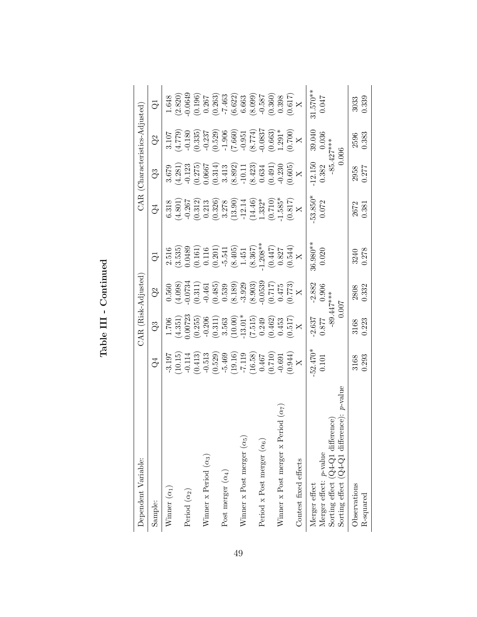| Dependent Variable:                                  |                                                                                                                                                                                                                                                                                                              | CAR (Risk-Adjusted)                                                              |                                                                                                                         |                                                                                 |                                                                          |                                                                                                      | CAR (Characteristics-Adjusted)                                           |                                                                              |
|------------------------------------------------------|--------------------------------------------------------------------------------------------------------------------------------------------------------------------------------------------------------------------------------------------------------------------------------------------------------------|----------------------------------------------------------------------------------|-------------------------------------------------------------------------------------------------------------------------|---------------------------------------------------------------------------------|--------------------------------------------------------------------------|------------------------------------------------------------------------------------------------------|--------------------------------------------------------------------------|------------------------------------------------------------------------------|
| Sample:                                              | $\mathbb{Q}^4$                                                                                                                                                                                                                                                                                               | $\Im$                                                                            | Q <sup>2</sup>                                                                                                          | ටි                                                                              | Ğ4                                                                       | $\mathbb{Q}^3$                                                                                       | $\overline{Q}$                                                           | $\vec{Q}$                                                                    |
| Winner $(\alpha_1)$                                  | $-3.197$                                                                                                                                                                                                                                                                                                     | 1.706                                                                            | 0.560                                                                                                                   |                                                                                 | 6.318                                                                    | 3.679                                                                                                |                                                                          | 1.648                                                                        |
|                                                      |                                                                                                                                                                                                                                                                                                              |                                                                                  |                                                                                                                         | $2.516$<br>$(3.535)$                                                            | (4.801)                                                                  |                                                                                                      | $\frac{(62107)}{(4.779)}$                                                |                                                                              |
| Period $(\alpha_2)$                                  |                                                                                                                                                                                                                                                                                                              |                                                                                  |                                                                                                                         | 0.0489                                                                          | $-0.267$                                                                 |                                                                                                      |                                                                          |                                                                              |
|                                                      |                                                                                                                                                                                                                                                                                                              | $(4.351)$<br>$(0.0723$<br>$(0.255)$<br>$-0.206$                                  |                                                                                                                         |                                                                                 |                                                                          |                                                                                                      |                                                                          | $\begin{array}{c} (2.820) \\ 0.0649 \\ 0.196) \\ 0.267 \\ 0.267 \end{array}$ |
| Winner x Period $(\alpha_3)$                         |                                                                                                                                                                                                                                                                                                              |                                                                                  |                                                                                                                         |                                                                                 | $\begin{array}{c} (0.312) \\ 0.213 \end{array}$                          |                                                                                                      |                                                                          |                                                                              |
|                                                      | $\begin{array}{l} (10.15)\\ -0.114\\ -0.513\\ -0.513\\ -0.513\\ -1.19\\ -1.19\\ -1.19\\ -1.19\\ -1.19\\ -1.19\\ -1.19\\ -1.19\\ -1.19\\ -1.19\\ -1.19\\ -1.19\\ -1.19\\ -1.19\\ -1.19\\ -1.19\\ -1.19\\ -1.19\\ -1.19\\ -1.19\\ -1.19\\ -1.19\\ -1.19\\ -1.19\\ -1.19\\ -1.19\\ -1.19\\ -1.19\\ -1.19\\ -1.$ | $\begin{array}{c} (0.311) \\ 3.563 \end{array}$                                  | $\begin{array}{l} (4.098) \\ (0.0734) \\ (0.311) \\ (0.465) \\ (0.485) \\ (0.539) \\ (8.189) \\ (8.189) \\ \end{array}$ | $\begin{array}{c} (0.161) \\ 0.116 \\ (0.201) \\ -5.541 \\ (8.405) \end{array}$ | $(0.326)$<br>$3.278$                                                     | $\begin{array}{c} (4.281) \\ -0.123 \\ (0.275) \\ 0.0667 \\ (0.314) \\ (0.314) \\ 3.413 \end{array}$ | $\begin{array}{c} (0.335) \\ -0.237 \\ (0.529) \\ -1.906 \\ \end{array}$ |                                                                              |
| Post merger $(\alpha_4)$                             |                                                                                                                                                                                                                                                                                                              |                                                                                  |                                                                                                                         |                                                                                 |                                                                          |                                                                                                      |                                                                          |                                                                              |
|                                                      |                                                                                                                                                                                                                                                                                                              | $(10.00)$<br>-13.01*                                                             |                                                                                                                         |                                                                                 | $\begin{array}{c} (13.90) \\ -12.14 \\ (14.46) \\ 1.332^{*} \end{array}$ | $\begin{array}{l} (8.892) \\ -10.11 \\ (8.423) \\ 0.634 \\ (0.491) \\ -0.230 \\ \hline \end{array}$  |                                                                          | $\begin{array}{r} -7.463 \\ (6.622) \\ 6.663 \\ 6.663 \end{array}$           |
| Winner x Post merger $(\alpha_5)$                    |                                                                                                                                                                                                                                                                                                              |                                                                                  |                                                                                                                         | $1.451\,$                                                                       |                                                                          |                                                                                                      |                                                                          |                                                                              |
|                                                      |                                                                                                                                                                                                                                                                                                              |                                                                                  |                                                                                                                         |                                                                                 |                                                                          |                                                                                                      | (8.774)                                                                  |                                                                              |
| Period x Post merger $(\alpha_6)$                    |                                                                                                                                                                                                                                                                                                              |                                                                                  |                                                                                                                         | $(8.367)$<br>1.208**                                                            |                                                                          |                                                                                                      | 0.0837                                                                   |                                                                              |
|                                                      |                                                                                                                                                                                                                                                                                                              | $\begin{array}{l} (7.515) \\ 0.249 \\ 0.462) \\ 0.453 \\ 0.517) \\ (\end{array}$ | $(8.903)$<br>0.0539<br>0.717)<br>0.475                                                                                  | $\begin{array}{c} (0.447) \\ 0.827 \end{array}$                                 | $(0.710)$<br>$1.585*$                                                    |                                                                                                      | $(0.663)$<br>1.291*                                                      | $\frac{-0.587}{(0.360)}$<br>(0.360)                                          |
| Winner x Post merger x Period $(\alpha_7)$           |                                                                                                                                                                                                                                                                                                              |                                                                                  |                                                                                                                         |                                                                                 |                                                                          |                                                                                                      |                                                                          |                                                                              |
|                                                      | $(X^{(1)}_{100})$                                                                                                                                                                                                                                                                                            |                                                                                  | $\frac{X}{X}$                                                                                                           | (X(0.544))                                                                      | $\frac{X}{X}$                                                            |                                                                                                      | (X(002.0))                                                               | (X(150)                                                                      |
| Contest fixed effects                                |                                                                                                                                                                                                                                                                                                              |                                                                                  |                                                                                                                         |                                                                                 |                                                                          |                                                                                                      |                                                                          |                                                                              |
| Merger effect                                        | $-52.470*$                                                                                                                                                                                                                                                                                                   | $-2.637$                                                                         | $-2.882$                                                                                                                | 36.980**                                                                        | $-53.850*$                                                               | $-12.150$                                                                                            | 39.040                                                                   | $31.570**$                                                                   |
| Merger effect: p-value                               | 0.101                                                                                                                                                                                                                                                                                                        | 0.877                                                                            | 0.906                                                                                                                   | 0.020                                                                           | 0.072                                                                    | 0.382                                                                                                | 0.036                                                                    | 0.047                                                                        |
| Sorting effect (Q4-Q1 difference)                    |                                                                                                                                                                                                                                                                                                              | $-89.447***$                                                                     |                                                                                                                         |                                                                                 |                                                                          |                                                                                                      | $-85.427***$                                                             |                                                                              |
| Sorting effect $(Q4-Q1$ difference): <i>p</i> -value |                                                                                                                                                                                                                                                                                                              |                                                                                  | 0.007                                                                                                                   |                                                                                 |                                                                          |                                                                                                      | 0.006                                                                    |                                                                              |
| Observations                                         | 3168                                                                                                                                                                                                                                                                                                         | 3168                                                                             | 2808                                                                                                                    | 3240                                                                            | 2672                                                                     | 2958                                                                                                 | 2596                                                                     | 3033                                                                         |
| R-squared                                            | 0.293                                                                                                                                                                                                                                                                                                        | 0.223                                                                            | 0.332                                                                                                                   | 0.278                                                                           | 0.381                                                                    | 0.277                                                                                                | 0.383                                                                    | 0.339                                                                        |

Table III - Continued Table III - Continued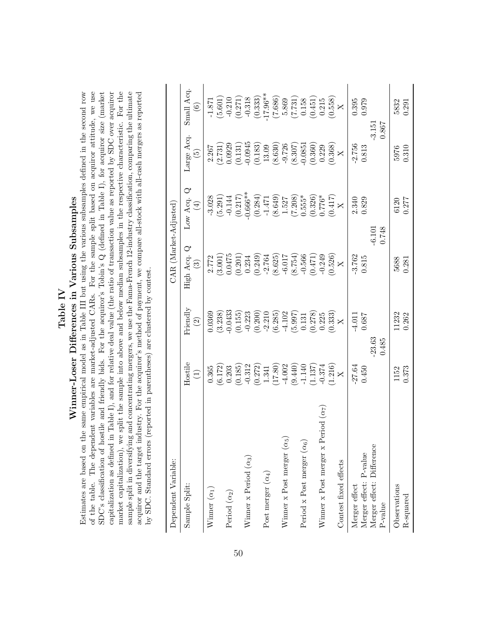### Table IV<br>Winner-Loser Differences in Various Subsamples Winner-Loser Differences in Various Subsamples

Estimates are based on the same empirical model as in Table III but using the various subsamples defined in the second row of the table. The dependent variables are market-adjusted CARs. For the sample split based on acquiror attitude, we use SDC's classification of hostile and friendly bids. For the acquiror's Tobin's  $Q$  (defined in Table I), for acquiror size (market capitalization as defined in Table I), and for relative deal value (the ratio of transaction value as reported by SDC over acquiror market capitalization), we split the sample into above and below median subsamples in the respective characteristic. For the sample split in diversifying and concentrating mergers, we use the Fama-French 12-industry classification, comparing the ultimate acquiror and the target industry. For the acquiror's method of payment, we compare all-stock with all-cash mergers as reported Estimates are based on the same empirical model as in Table III but using the various subsamples defined in the second row of the table. The dependent variables are market-adjusted CARs. For the sample split based on acquiror attitude, we use SDC's classification of hostile and friendly bids. For the acquiror's Tobin's Q (defined in Table I), for acquiror size (market capitalization as defined in Table I), and for relative deal value (the ratio of transaction value as reported by SDC over acquiror market capitalization), we split the sample into above and below median subsamples in the respective characteristic. For the sample split in diversifying and concentrating mergers, we use the Fama-French 12-industry classification, comparing the ultimate acquiror and the target industry. For the acquiror's method of payment, we compare all-stock with all-cash mergers as reported by SDC. Standard errors (reported in parentheses) are clustered by contest. by SDC. Standard errors (reported in parentheses) are clustered by contest.

| Dependent Variable:                        |                                                                      |                                                                     | $CAR$ (Market-Adjusted)               |                                                                      |                                                                      |                                                                           |
|--------------------------------------------|----------------------------------------------------------------------|---------------------------------------------------------------------|---------------------------------------|----------------------------------------------------------------------|----------------------------------------------------------------------|---------------------------------------------------------------------------|
| Sample Split:                              | Hostile<br>$\bigoplus$                                               | $\rm{Friendly}$<br>$\widehat{\Omega}$                               | High Acq. Q<br>$\widehat{\mathbf{c}}$ | Low Acq. $Q$<br>$\bigoplus$                                          | Large Acq.<br>$\widetilde{\mathbf{e}}$                               | Small Acq.<br>$\widehat{\mathbf{e}}$                                      |
| Winner $(\alpha_1)$                        | 0.365                                                                | 0.0369                                                              | 2.772                                 | $-3.028$                                                             | 2.267                                                                | $-1.871$                                                                  |
| Period $(\alpha_2)$                        | $(6.172)$<br>0.203                                                   | $-0.0433$<br>(3.238)                                                | 0.0475<br>3.001)                      | (5.291)<br>$-0.144$                                                  | $(2.731)$<br>0.0929                                                  | $(5.601)$<br>$-0.210$<br>$(0.271)$                                        |
|                                            | (0.185)                                                              | (0.155)                                                             | $(0.201)$<br>$0.234$                  | $(0.217)$<br>$-0.666**$                                              | $(0.131)$<br>$-0.0945$                                               |                                                                           |
| Winner x Period $(\alpha_3)$               | $-0.312$                                                             |                                                                     |                                       |                                                                      |                                                                      | $-0.318$                                                                  |
| Post merger $(\alpha_4)$                   | $\begin{array}{c} (0.272) \\ 1.341 \\ (17.80) \\ -4.002 \end{array}$ | $-0.223$<br>$(0.200)$<br>$-2.210$<br>$(6.285)$<br>$(4.102)$         | $(0.249)$<br>-2.764<br>(8.625)        | $\begin{array}{c} (0.284) \\ -1.471 \\ (8.649) \\ 1.527 \end{array}$ | $\begin{array}{c} (0.183) \\ 13.09 \\ (8.630) \\ -9.726 \end{array}$ | $\begin{array}{c} (0.333) \\ -17.96^{**} \\ (7.686) \\ 5.869 \end{array}$ |
|                                            |                                                                      |                                                                     |                                       |                                                                      |                                                                      |                                                                           |
| Winner x Post merger $(\alpha_5)$          |                                                                      |                                                                     |                                       |                                                                      |                                                                      |                                                                           |
|                                            | $(9.440)$<br>-1.140                                                  | $\begin{array}{c} (5.997) \\ 0.131 \\ (0.278) \\ 0.225 \end{array}$ | (54.7)                                | $(7.208)$<br>0.555*                                                  | (8.307)                                                              | $\begin{array}{c} (7.731) \\ 0.158 \\ (0.451) \\ 0.215 \end{array}$       |
| Period x Post merger $(\alpha_6)$          |                                                                      |                                                                     |                                       |                                                                      | $-0.0851$                                                            |                                                                           |
|                                            | (1.137)                                                              |                                                                     | $(0.566$<br>(0.471)                   | $(0.326)$<br>0.776*                                                  | $\left( 0.360\right)$ $\left( 0.229\right)$                          |                                                                           |
| Winner x Post merger x Period $(\alpha_7)$ |                                                                      |                                                                     | $-0.249$                              |                                                                      |                                                                      |                                                                           |
|                                            | (1.216)                                                              | (0.333)                                                             | (0.526)                               | (0.417)                                                              | (0.368)                                                              | (0.558)                                                                   |
| Contest fixed effects                      |                                                                      | $\overline{\mathsf{X}}$                                             | $\overline{\mathsf{X}}$               |                                                                      | $\overline{\mathsf{X}}$                                              | $\overline{\mathsf{X}}$                                                   |
| Merger effect                              | $-27.64$                                                             | $-4.011$                                                            | $-3.762$                              |                                                                      |                                                                      | 0.395                                                                     |
| Merger effect: P-value                     | 0.450                                                                | 0.687                                                               | 0.815                                 | 2.340<br>0.829                                                       | $-2.756$<br>$0.813$                                                  | 0.979                                                                     |
| Merger effect: Difference                  |                                                                      | 23.63                                                               |                                       | $-6.101$                                                             |                                                                      | $-3.151$                                                                  |
| $P-value$                                  |                                                                      | 0.485                                                               |                                       | 0.748                                                                |                                                                      | 0.867                                                                     |
| Observations                               | 1152                                                                 | 11232                                                               | 5688                                  | 6120                                                                 | 5976                                                                 | 5832                                                                      |
| R-squared                                  | 0.373                                                                | 0.262                                                               | 0.281                                 | 0.277                                                                | 0.310                                                                | 0.291                                                                     |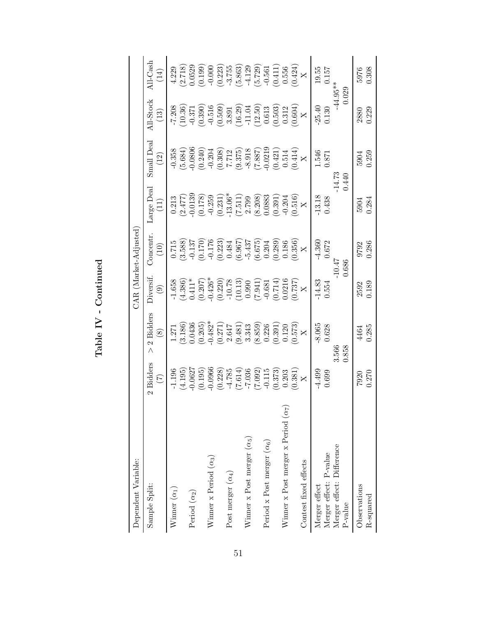| c<br>ī |  |
|--------|--|
|        |  |
| ļ      |  |
| í      |  |

| Dependent Variable:                        |                                                  |                                                 |                                                                      | CAR (Market-Adjusted)                                                |                                                                                                                  |                                                                                                                                                    |                                                                                                         |                                                                                           |
|--------------------------------------------|--------------------------------------------------|-------------------------------------------------|----------------------------------------------------------------------|----------------------------------------------------------------------|------------------------------------------------------------------------------------------------------------------|----------------------------------------------------------------------------------------------------------------------------------------------------|---------------------------------------------------------------------------------------------------------|-------------------------------------------------------------------------------------------|
| Sample Split:                              | Bidders<br>$\widehat{\Xi}$<br>$\mathbf{\hat{c}}$ | Bidders<br>$\circledast$<br>$\mathcal{Q}$       | Diversif<br>$\odot$                                                  | <b>Concentr</b><br>(10)                                              | Large Deal<br>$\left(11\right)$                                                                                  | Small Deal<br>(12)                                                                                                                                 | All-Stock<br>$\left(13\right)$                                                                          | All-Cash<br>(14)                                                                          |
| Winner $(\alpha_1)$                        | (4.195)<br>$-1.196$                              | (3.186)<br>1.271                                | (4.386)<br>$-1.658$                                                  | (3.588)<br>0.715                                                     | (2.477)<br>0.213                                                                                                 | (5.684)<br>$-0.358$                                                                                                                                | $-7.208$<br>(10.36)                                                                                     | 4.229                                                                                     |
| Period $(\alpha_2)$                        | $-0.0627$                                        | 0.0436                                          |                                                                      | $-0.137$                                                             | 0.0139                                                                                                           | 0.0806                                                                                                                                             | $-0.371$                                                                                                | 0.0529<br>(2.718)                                                                         |
| Winner x Period $(\alpha_3)$               | $(0.195)$<br>$0.0966$                            | $0.482*$<br>(0.205)                             | $0.411*$<br>$(0.207)$<br>$(0.426*$                                   | $\begin{array}{c} (0.170) \\ -0.176 \\ (0.223) \\ 0.484 \end{array}$ | $\begin{array}{l} (0.178) \\ -0.259 \\ (0.231) \\ -13.06^* \\ (7.511) \\ 2.799 \\ (8.208) \\ 0.0883 \end{array}$ | $\begin{array}{c} (0.240)\\ -0.204\\ -0.308)\\ (0.308)\\ 7.712\\ -8.918\\ (1.887)\\ (0.421)\\ (0.414)\\ (0.414)\\ (0.414)\\ (0.414)\\ \end{array}$ | $\begin{array}{c} (0.390) \\ -0.516 \\ (0.509) \\ 3.891 \\ (16.29) \\ -11.04 \\ (12.50) \\ \end{array}$ | $(0.199)$<br>$-0.000$<br>$(0.223)$<br>$-3.755$                                            |
| Post merger $(\alpha_4)$                   | $(0.228)$<br>-4.785                              | $\begin{array}{c} (0.271) \\ 2.647 \end{array}$ | $(0.220)$<br>-10.78                                                  |                                                                      |                                                                                                                  |                                                                                                                                                    |                                                                                                         |                                                                                           |
|                                            | (7.614)                                          | $\begin{array}{c} (9.481) \\ 3.343 \end{array}$ |                                                                      | (6.967)                                                              |                                                                                                                  |                                                                                                                                                    |                                                                                                         |                                                                                           |
| Winner x Post merger $(\alpha_5)$          | (7.036)                                          | (8.859)                                         |                                                                      | $-5.437$                                                             |                                                                                                                  |                                                                                                                                                    |                                                                                                         |                                                                                           |
| Period x Post merger $(\alpha_6)$          | $-0.115$                                         | 0.226                                           | $\begin{array}{c} (10.13) \\ 0.990 \\ (7.941) \\ -0.681 \end{array}$ | $\begin{array}{c} (6.675) \\ 0.204 \end{array}$                      |                                                                                                                  |                                                                                                                                                    |                                                                                                         | $\begin{array}{c} (5.863) \\ -4.129 \\ (5.729) \\ -0.561 \\ (0.411) \\ 0.556 \end{array}$ |
|                                            | (0.373)                                          | (0.391)                                         | (0.714)                                                              | (0.289)                                                              |                                                                                                                  |                                                                                                                                                    | $\begin{array}{c} (0.503) \\ 0.312 \end{array}$                                                         |                                                                                           |
| Winner x Post merger x Period $(\alpha_7)$ | 0.203                                            | $\frac{0.120}{0.573}$                           | $(0.0216)$<br>$(X - 0.737)$                                          | (0.186)                                                              | $(0.391)$<br>$-0.204$<br>$(0.516)$<br>X                                                                          |                                                                                                                                                    | $(X_{\rm X}^{(0.604)}$                                                                                  |                                                                                           |
| Contest fixed effects                      | $\frac{1}{\sqrt{2}}$                             |                                                 |                                                                      |                                                                      |                                                                                                                  |                                                                                                                                                    |                                                                                                         | $(X^{(1,24)}_{X})$                                                                        |
| Merger effect                              | 4.499                                            | 8.065                                           | $-14.83$<br>$0.554$                                                  | $-4.360$                                                             | $-13.18$                                                                                                         | 1.546                                                                                                                                              | $-25.40$                                                                                                | 19.55                                                                                     |
| Merger effect: P-value                     | 0.699                                            | 0.628                                           |                                                                      | 0.672                                                                | 0.438                                                                                                            | 0.871                                                                                                                                              | 0.130                                                                                                   | 0.157                                                                                     |
| Merger effect: Difference<br>P-value       |                                                  | 3.566<br>0.858                                  |                                                                      | 0.686                                                                |                                                                                                                  | $-14.73$<br>0.440                                                                                                                                  | $-44.95***$<br>0.029                                                                                    |                                                                                           |
| Observations<br>R-squared                  | 0.270<br>7920                                    | 0.285<br>464                                    | 0.189<br>2592                                                        | 0.286<br>9792                                                        | 0.284<br>5904                                                                                                    | 0.259<br>5904                                                                                                                                      | 0.229<br>2880                                                                                           | 0.308<br>5976                                                                             |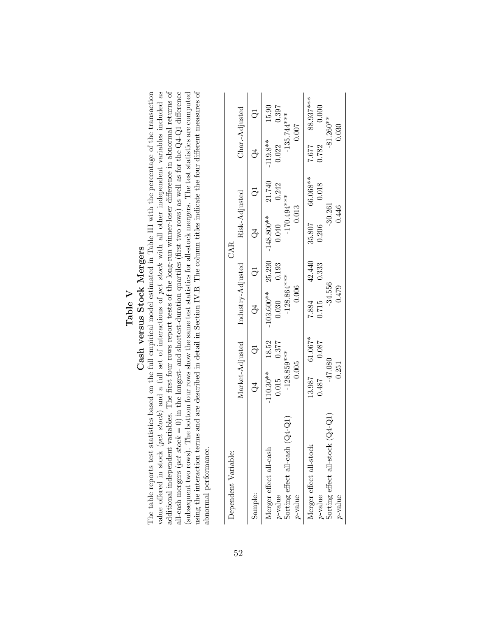### Table V<br>Cash versus Stock Mergers

value offered in stock (pct stock) and a full set of interactions of pct stock with all other independent variables included as additional independent variables. The first four rows report tests of the long-run winner-loser difference in abnormal returns of all-cash mergers (pct stock = 0) in the longest- and shortest-duration quartiles (first two rows) as well as for the  $Q4-Q1$  difference using the interaction terms and are described in detail in Section IV.B The column titles indicate the four different measures of The table reports test statistics based on the full empirical model estimated in Table III with the percentage of the transaction (subsequent two rows). The bottom four rows show the same test statistics for all-stock mergers. The test statistics are computed additional independent variables. The first four rows report tests of the long-run winner-loser difference in abnormal returns of using the interaction terms and are described in detail in Section IV.B. The column titles indicate the four different measures of The table reports test statistics based on the full empirical model estimated in Table III with the percentage of the transaction value offered in stock (pct stock) and a full set of interactions of pct stock with all other independent variables included as all-cash mergers (pct stock = 0) in the longest- and shortest-duration quartiles (first two rows) as well as for the  $Q_4$ -Q1 difference (subsequent two rows). The bottom four rows show the same test statistics for all-stock mergers. The test statistics are computed Cash versus Stock Mergers abnormal performance. abnormal performance.

| Dependent Variable:                           |               |                  |                                   |                | CAR                 |          |            |                 |
|-----------------------------------------------|---------------|------------------|-----------------------------------|----------------|---------------------|----------|------------|-----------------|
|                                               |               |                  | Market-Adjusted Industry-Adjusted |                | Risk-Adjusted       |          |            | $Char-Adjusted$ |
| Sample:                                       | Š             | $\overline{Q}$   | C4                                | $\overline{Q}$ | C4                  |          |            |                 |
| Merger effect all-cash                        | $-110.30**$   | 18.52            | $-103.600**$ 25.290               |                | $-148.800**$ 21.740 |          | $-119.8**$ | 15.90           |
| $p$ -value                                    | 0.015         | 0.377            | 0.030                             | 0.193          | 0.040               | 0.242    | 0.022      | 0.397           |
| $\rm Q4\text{-}Q1$<br>Sorting effect all-cash | $-128.859***$ |                  | $-128.864***$                     |                | $-170.494***$       |          |            | $-135.744***$   |
| $p$ -value                                    | 0.005         |                  | 0.006                             |                | 0.013               |          |            | 0.007           |
| Merger effect all-stock                       |               | $13.987$ 61.067* | 7.884 42.440                      |                | 35.807              | 66.068** | 7.677      | 88.937***       |
| $p$ -value                                    | 18487         | 0.087            | 0.715                             | 0.333          | 0.206               | 0.018    | 0.782      | 0.000           |
| $(Q4 - Q1)$<br>Sorting effect all-stock       | $-47.080$     |                  | $-34.556$                         |                | $-30.261$           |          |            | $-81.260**$     |
| $v$ -value                                    | 0.251         |                  | 0.479                             |                | 0.446               |          |            | 0.030           |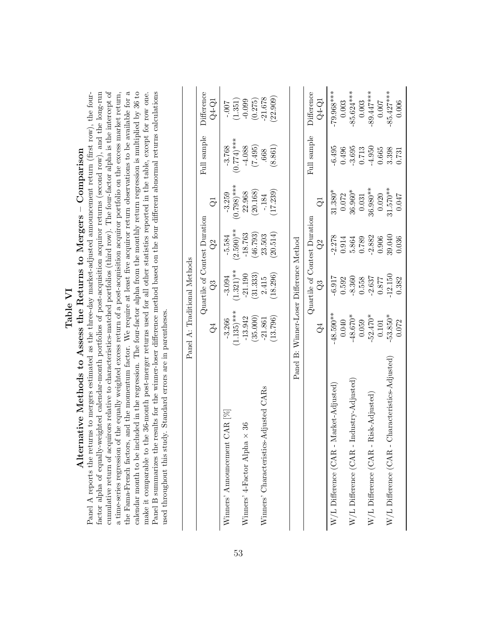# Table VI<br>Alternative Methods to Assess the Returns to Mergers – Comparison Alternative Methods to Assess the Returns to Mergers – Comparison

cumulative return of acquirors relative to characteristics-matched portfolios (third row). The four-factor alpha is the intercept of calendar month to be included in the regression. The four-factor alpha from the monthly return regression is multiplied by  $36$  to Panel B summarizes the results for the winner-loser difference method based on the four different abnormal returns calculations factor alpha of equally-weighted calendar-month portfolios of post-acquisition acquiror returns (second row), and the long-run the Fama-French factors, and the momentum factor. We require at least five acquiror return observations to be available for a the Fama-French factors, and the momentum factor. We require at least five acquiror return observations to be available for a Panel A reports the returns to mergers estimated as the three-day market-adjusted announcement return (first row), the fourcumulative return of acquirors relative to characteristics-matched portfolios (third row). The four-factor alpha is the intercept of a time-series regression of the equally weighted excess return of a post-acquisition acquiror portfolio on the excess market return, make it comparable to the 36-month post-merger returns used for all other statistics reported in the table, except for row one. Panel A reports the returns to mergers estimated as the three-day market-adjusted announcement return (first row), the fourfactor alpha of equally-weighted calendar-month portfolios of post-acquisition acquiror returns (second row), and the long-run a time-series regression of the equally weighted excess return of a post-acquisition acquiror portfolio on the excess market return, calendar month to be included in the regression. The four-factor alpha from the monthly return regression is multiplied by 36 to make it comparable to the 36-month post-merger returns used for all other statistics reported in the table, except for row one. Panel B summarizes the results for the winner-loser difference method based on the four different abnormal returns calculations used throughout this study. Standard errors are in parentheses. used throughout this study. Standard errors are in parentheses.

|                                                 | Panel A: Traditional Methods            |              |                              |               |               |              |
|-------------------------------------------------|-----------------------------------------|--------------|------------------------------|---------------|---------------|--------------|
|                                                 |                                         |              | Quartile of Contest Duration |               | Full sample   | Difference   |
|                                                 | ु                                       | C3           | $\Im$                        | $\vec{\circ}$ |               | Q4-Q1        |
| Winners' Announcement CAR [%]                   | $-3.266$                                | $-3.094$     | $-5.584$                     | $-3.259$      | $-3.768$      | $-0.007$     |
|                                                 | $(1.135)$ ***                           | $(1.321)$ ** | $(2.590)$ **                 | $(0.798)$ *** | $(0.774)$ *** | (1.351)      |
| 36<br>Winners' 4-Factor Alpha $\times$          | $-13.942$                               | $-21.190$    | $-18.763$                    | 22.968        | $-4.088$      | $-0.099$     |
|                                                 | (35.000)                                | (31.333)     | (46.793)                     | (20.168)      | (7.495)       | (0.275)      |
| Winners' Characteristics-Adjusted CARs          | $-21.861$                               | 2.415        | 23.503                       | $-184$        | .668          | $-21.678$    |
|                                                 | (13.796)                                | (18.296)     | (20.514)                     | 17.239)       | (8.861)       | (22.909)     |
|                                                 |                                         |              |                              |               |               |              |
|                                                 | Panel B: Winner-Loser Difference Method |              |                              |               |               |              |
|                                                 |                                         |              | Quartile of Contest Duration |               | Full sample   | Difference   |
|                                                 | Š                                       | C3           | $\overline{Q}$               | ರ             |               | $Q4-Q1$      |
| W/L Difference (CAR - Market-Adjusted)          | 48.590**                                | $-6.917$     | $-2.278$                     | $31.380*$     | $-6.495$      | -79.968***   |
|                                                 | 0.040                                   | 0.592        | 0.914                        | 0.072         | 0.496         | 0.003        |
| $W/L$ Difference (CAR - Industry-Adjusted)      | $-48.670*$                              | $-8.360$     | 5.864                        | $36.960*$     | $-3.695$      | $-85.624***$ |
|                                                 | 0.059                                   | 0.558        | 0.789                        | 0.031         | 0.713         | $0.003\,$    |
| W/L Difference (CAR - Risk-Adjusted)            | $-52.470*$                              | $-2.637$     | $-2.882$                     | 36.980**      | $-4.950$      | $-89.447***$ |
|                                                 | 0.101                                   | 0.877        | 0.906                        | 0.020         | 0.665         | 0.007        |
| W/L Difference (CAR - Characteristics-Adjusted) | $-53.850*$                              | 12.150       | 39.040                       | 31.570**      | 3.398         | $-85.427***$ |
|                                                 | 0.072                                   | 0.382        | 0.036                        | 0.047         | 0.731         | 0.006        |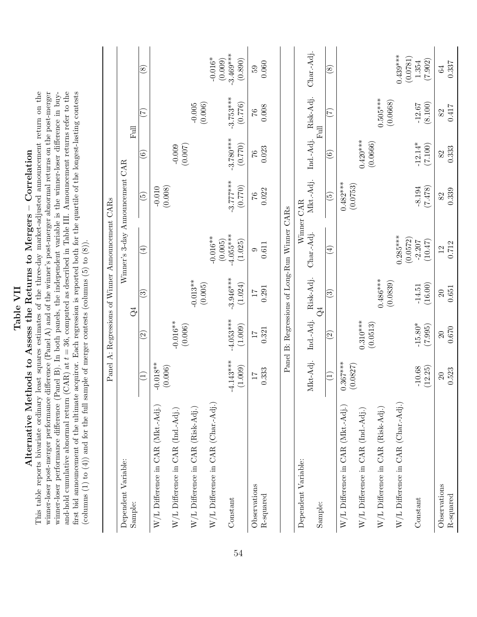winner-loser performance difference (Panel B). In both panels, the independent variable is the winner-loser difference in buyand-hold cumulative abnormal return  $(CAR)$  at  $t = 36$ , computed as described in Table III. Announcement returns refer to the first bid announcement of the ultimate acquiror. Each regression is reported both for the quartile of the longest-lasting contests This table reports bivariate ordinary least squares estimates of the three-day market-adjusted announcement return on the winner-loser post-merger performance difference (Panel A) and of the winner's post-merger abnormal returns on the post-merger This table reports bivariate ordinary least squares estimates of the three-day market-adjusted announcement return on the winner-loser post-merger performance difference (Panel A) and of the winner's post-merger abnormal returns on the post-merger winner-loser performance difference (Panel B). In both panels, the independent variable is the winner-loser difference in buyand-hold cumulative abnormal return  $(CAR)$  at  $t = 36$ , computed as described in Table III. Announcement returns refer to the first bid announcement of the ultimate acquiror. Each regression is reported both for the quartile of the longest-lasting contests Table VII<br>Alternative Methods to Assess the Returns to Mergers – Correlation Alternative Methods to Assess the Returns to Mergers – Correlation

(columns  $(1)$  to  $(4)$ ) and for the full sample of merger contests (columns  $(5)$  to  $(8)$ ).

(columns  $(1)$  to  $(4)$ ) and for the full sample of merger contests (columns  $(5)$  to  $(8)$ ).

|                                                                                |                              |                          |                          | Panel A: Regressions of Winner Announcement CARs |                          |                          |                        |                                   |
|--------------------------------------------------------------------------------|------------------------------|--------------------------|--------------------------|--------------------------------------------------|--------------------------|--------------------------|------------------------|-----------------------------------|
| Dependent Variable:<br>Sample:                                                 |                              |                          | $\Im$                    | Winner's 3-day Announcement CAR                  |                          |                          | <b>Full</b>            |                                   |
|                                                                                | Ξ                            | $\widehat{\mathfrak{O}}$ | ⊙                        | $(\pm)$                                          | $\widetilde{\mathbf{e}}$ | $\widehat{\circ}$        | $(\zeta)$              | $\circledast$                     |
| W/L Difference in CAR (Mkt.-Adj.)                                              | $-0.018**$<br>(0.006)        |                          |                          |                                                  | (0.008)<br>$-0.010$      |                          |                        |                                   |
| W/L Difference in CAR (Ind.-Adj.)                                              |                              | $-0.016**$               |                          |                                                  |                          | (0.007)                  |                        |                                   |
| W/L Difference in CAR (Risk-Adj.)                                              |                              | (0.006)                  | $-0.013**$               |                                                  |                          |                          | $-0.005$<br>$(0.006)$  |                                   |
| W/L Difference in CAR (Char.-Adj.)                                             |                              |                          | (0.005)                  | $-0.016**$                                       |                          |                          |                        | $-0.016*$                         |
| Constant                                                                       | $-4.143***$<br>(1.009)       | $-4.053***$<br>(1.009)   | $-3.946***$<br>(1.024)   | $-4.055***$<br>(0.005)<br>(1.025)                | $-3.777***$<br>(0.770)   | $-3.780***$<br>(0.770)   | $-3.753***$<br>(0.776) | $-3.469***$<br>(0.890)<br>(0.009) |
| Observations                                                                   | $\overline{11}$              | $\overline{1}$           | $\overline{11}$          | $\circ$                                          | $\mathcal{C}$            | $\sqrt[3]{7}$            | $\sqrt[3]{6}$          | 59                                |
| R-squared                                                                      | 0.333                        | 0.321                    | 0.291                    | 0.611                                            | 0.022                    | 0.023                    | 0.008                  | 0.060                             |
|                                                                                |                              |                          |                          | Panel B: Regressions of Long-Run Winner CARs     |                          |                          |                        |                                   |
| Dependent Variable:                                                            | Mkt-Adj.                     | Ind.-Adj.                | Risk-Adj.                | Char.-Adj.                                       | Mkt.-Adj.<br>Winner CAR  | Ind.-Adj.                | Risk-Adj.              | Char.-Adj.                        |
| Sample:                                                                        |                              |                          | $\vec{Q}$                |                                                  |                          |                          | 昆                      |                                   |
|                                                                                | Ξ                            | $\widehat{\mathfrak{O}}$ | $\widetilde{\mathbb{C}}$ | $\bigoplus$                                      | $\widetilde{5}$          | $\widehat{\mathfrak{S}}$ | $(\widetilde{\zeta})$  | $\circledast$                     |
| W/L Difference in CAR (Mkt.-Adj.)                                              | $0.367***$<br>(0.0827)       |                          |                          |                                                  | $0.482***$<br>(0.0753)   |                          |                        |                                   |
| $\ensuremath{\text{W}}/\ensuremath{\text{L}}$<br>Difference in CAR (Ind.-Adj.) |                              | $0.310***$<br>(0.0513)   |                          |                                                  |                          | $0.420***$<br>(0.0666)   |                        |                                   |
| $\ensuremath{\text{W}}/\ensuremath{\text{L}}$<br>Difference in CAR (Risk-Adj.) |                              |                          | $0.486***$<br>(0.0839)   |                                                  |                          |                          | $0.505***$<br>(0.0668) |                                   |
| W/L Difference in CAR (Char.-Adj.)                                             |                              |                          |                          | $0.285***$<br>(0.0572)                           |                          |                          |                        | $0.439***$<br>(0.0781)            |
| Constant                                                                       | $-10.68$<br>(12.25)          | $-15.80*$<br>(7.995)     | (16.00)<br>$-14.51$      | (10.47)<br>$-2.207$                              | $-8.194$<br>(7.478)      | $-12.14*$<br>(7.100)     | (8.100)<br>$-12.67$    | (7.902)<br>1.354                  |
| Observations<br>R-squared                                                      | 0.523<br>$\overline{\Omega}$ | 0.670<br>$20\,$          | $\,0.651\,$<br>20        | 0.712<br>$\overline{12}$                         | 0.339<br>82              | 0.333<br>82              | 0.417<br>82            | 0.337<br>64                       |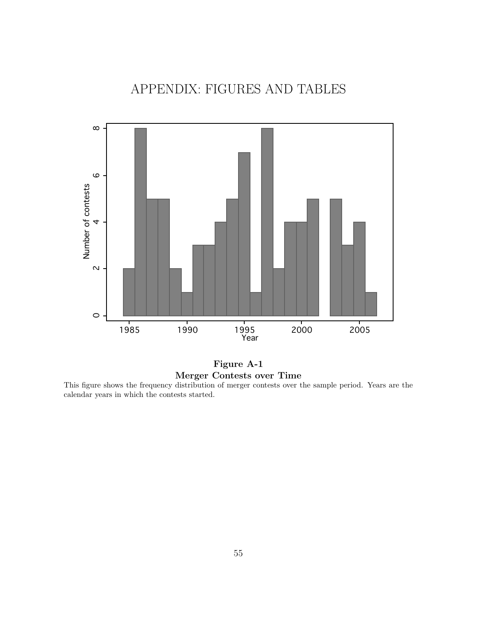### APPENDIX: FIGURES AND TABLES



### Figure A-1 Merger Contests over Time

This figure shows the frequency distribution of merger contests over the sample period. Years are the calendar years in which the contests started.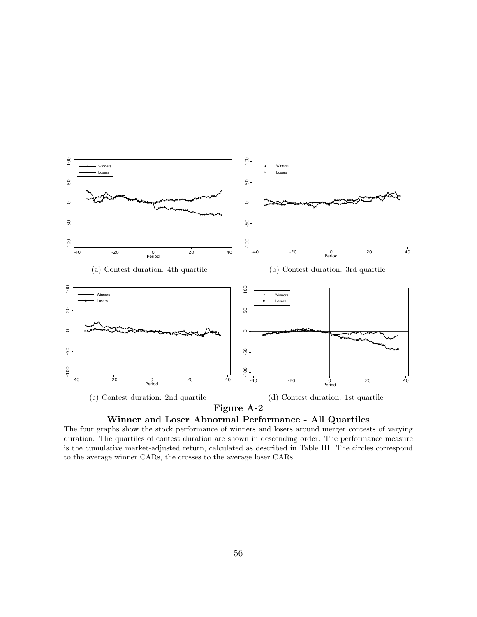



The four graphs show the stock performance of winners and losers around merger contests of varying duration. The quartiles of contest duration are shown in descending order. The performance measure is the cumulative market-adjusted return, calculated as described in Table III. The circles correspond to the average winner CARs, the crosses to the average loser CARs.